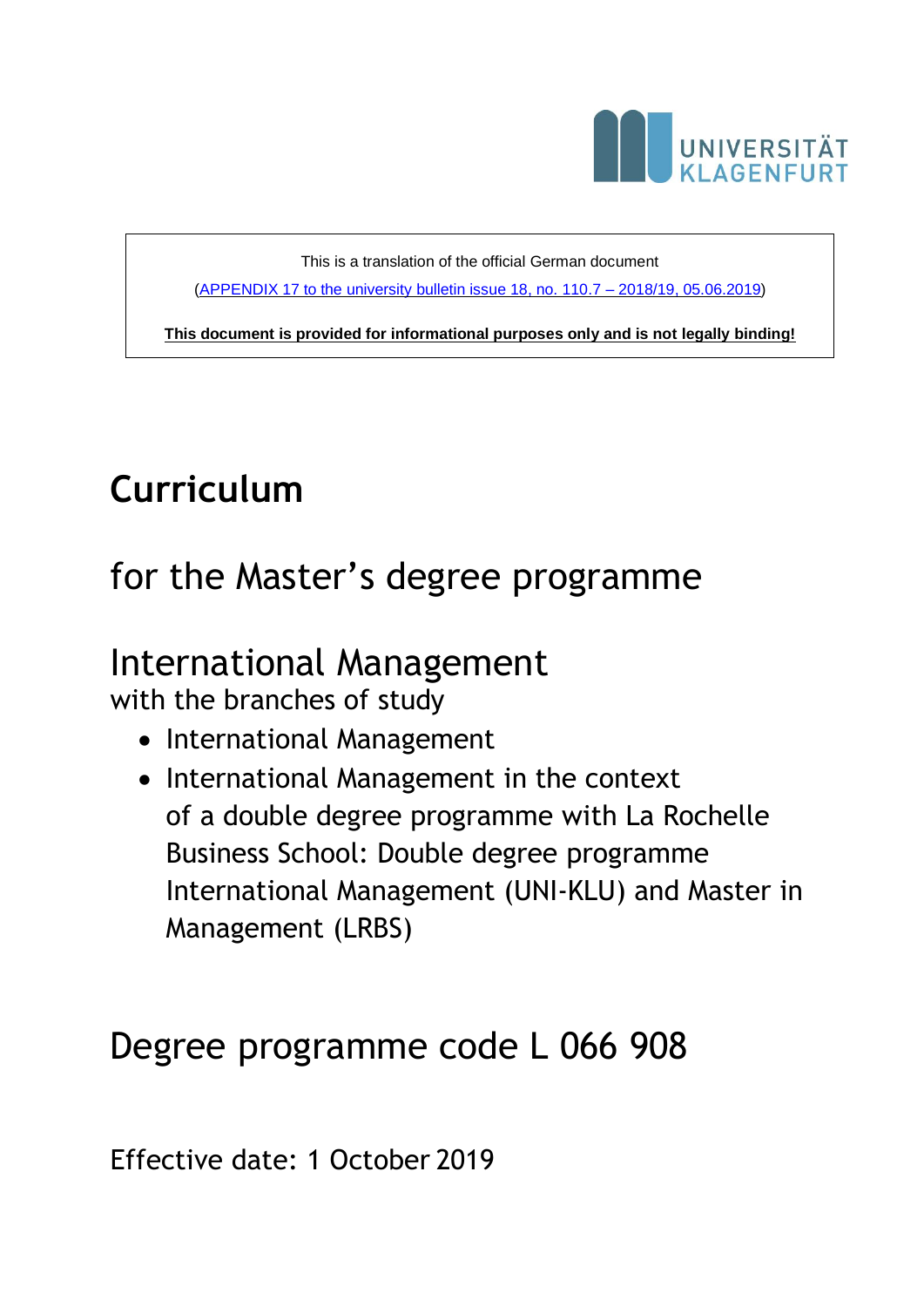

This is a translation of the official German document [\(APPENDIX 17 to the university bulletin issue 18, no. 110.7 –](https://www.aau.at/wp-content/uploads/2019/06/Mitteilungsblatt-2018-2019-18-Beilage-17.pdf) 2018/19, 05.06.2019)

**This document is provided for informational purposes only and is not legally binding!**

# **Curriculum**

# for the Master's degree programme

## International Management

with the branches of study

- International Management
- International Management in the context of a double degree programme with La Rochelle Business School: Double degree programme International Management (UNI-KLU) and Master in Management (LRBS)

## Degree programme code L 066 908

Effective date: 1 October 2019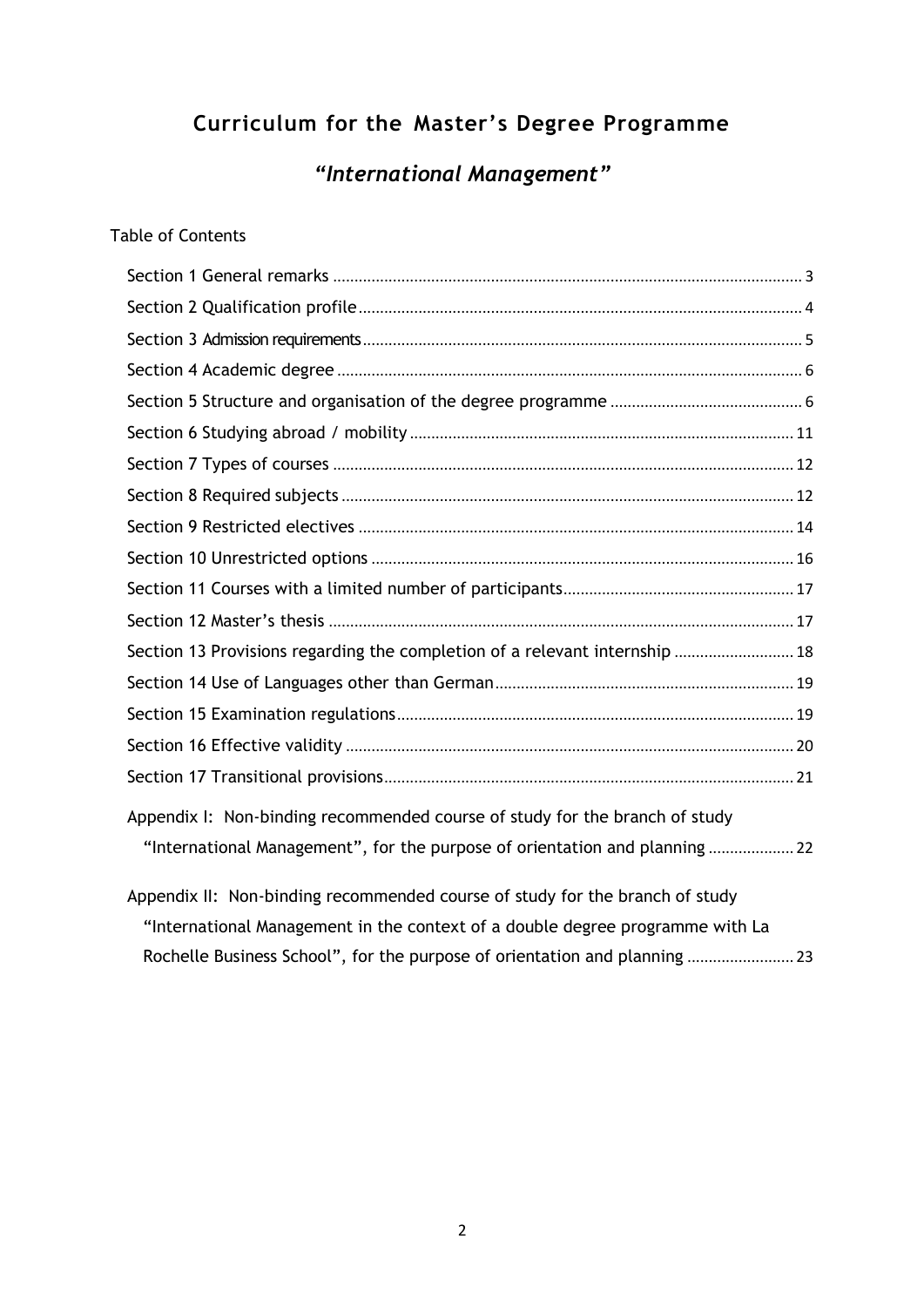### **Curriculum for the Master's Degree Programme**

*"International Management"*

#### Table of Contents

| Section 13 Provisions regarding the completion of a relevant internship  18   |  |
|-------------------------------------------------------------------------------|--|
|                                                                               |  |
|                                                                               |  |
|                                                                               |  |
|                                                                               |  |
| Appendix I: Non-binding recommended course of study for the branch of study   |  |
| "International Management", for the purpose of orientation and planning       |  |
| Appendix II: Non-binding recommended course of study for the branch of study  |  |
| "International Management in the context of a double degree programme with La |  |
| Rochelle Business School", for the purpose of orientation and planning  23    |  |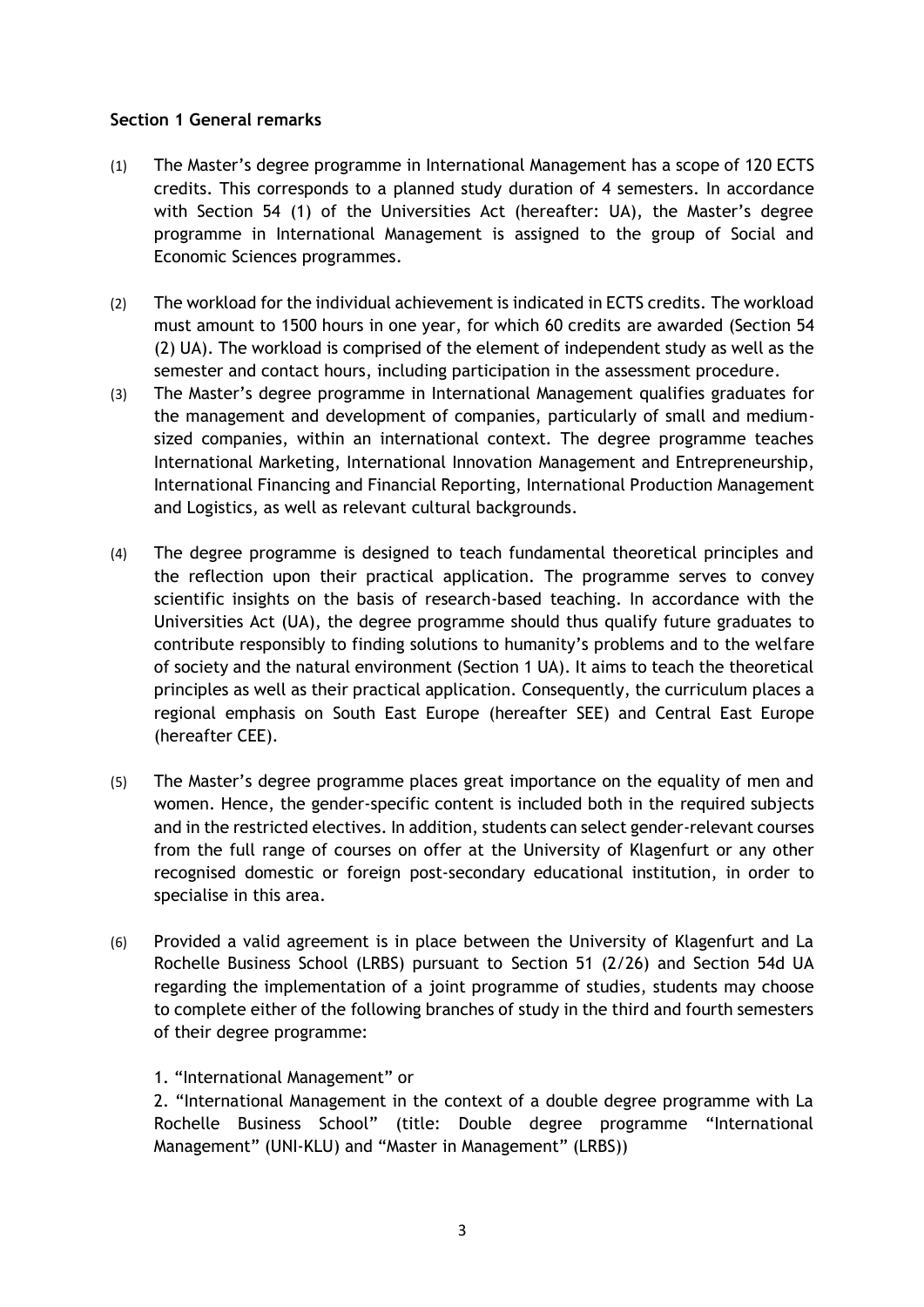#### **Section 1 General remarks**

- (1) The Master's degree programme in International Management has a scope of 120 ECTS credits. This corresponds to a planned study duration of 4 semesters. In accordance with Section 54 (1) of the Universities Act (hereafter: UA), the Master's degree programme in International Management is assigned to the group of Social and Economic Sciences programmes.
- (2) The workload for the individual achievement is indicated in ECTS credits. The workload must amount to 1500 hours in one year, for which 60 credits are awarded (Section 54 (2) UA). The workload is comprised of the element of independent study as well as the semester and contact hours, including participation in the assessment procedure.
- (3) The Master's degree programme in International Management qualifies graduates for the management and development of companies, particularly of small and mediumsized companies, within an international context. The degree programme teaches International Marketing, International Innovation Management and Entrepreneurship, International Financing and Financial Reporting, International Production Management and Logistics, as well as relevant cultural backgrounds.
- (4) The degree programme is designed to teach fundamental theoretical principles and the reflection upon their practical application. The programme serves to convey scientific insights on the basis of research-based teaching. In accordance with the Universities Act (UA), the degree programme should thus qualify future graduates to contribute responsibly to finding solutions to humanity's problems and to the welfare of society and the natural environment (Section 1 UA). It aims to teach the theoretical principles as well as their practical application. Consequently, the curriculum places a regional emphasis on South East Europe (hereafter SEE) and Central East Europe (hereafter CEE).
- (5) The Master's degree programme places great importance on the equality of men and women. Hence, the gender-specific content is included both in the required subjects and in the restricted electives. In addition, students can select gender-relevant courses from the full range of courses on offer at the University of Klagenfurt or any other recognised domestic or foreign post-secondary educational institution, in order to specialise in this area.
- (6) Provided a valid agreement is in place between the University of Klagenfurt and La Rochelle Business School (LRBS) pursuant to Section 51 (2/26) and Section 54d UA regarding the implementation of a joint programme of studies, students may choose to complete either of the following branches of study in the third and fourth semesters of their degree programme:

#### 1. "International Management" or

2. "International Management in the context of a double degree programme with La Rochelle Business School" (title: Double degree programme "International Management" (UNI-KLU) and "Master in Management" (LRBS))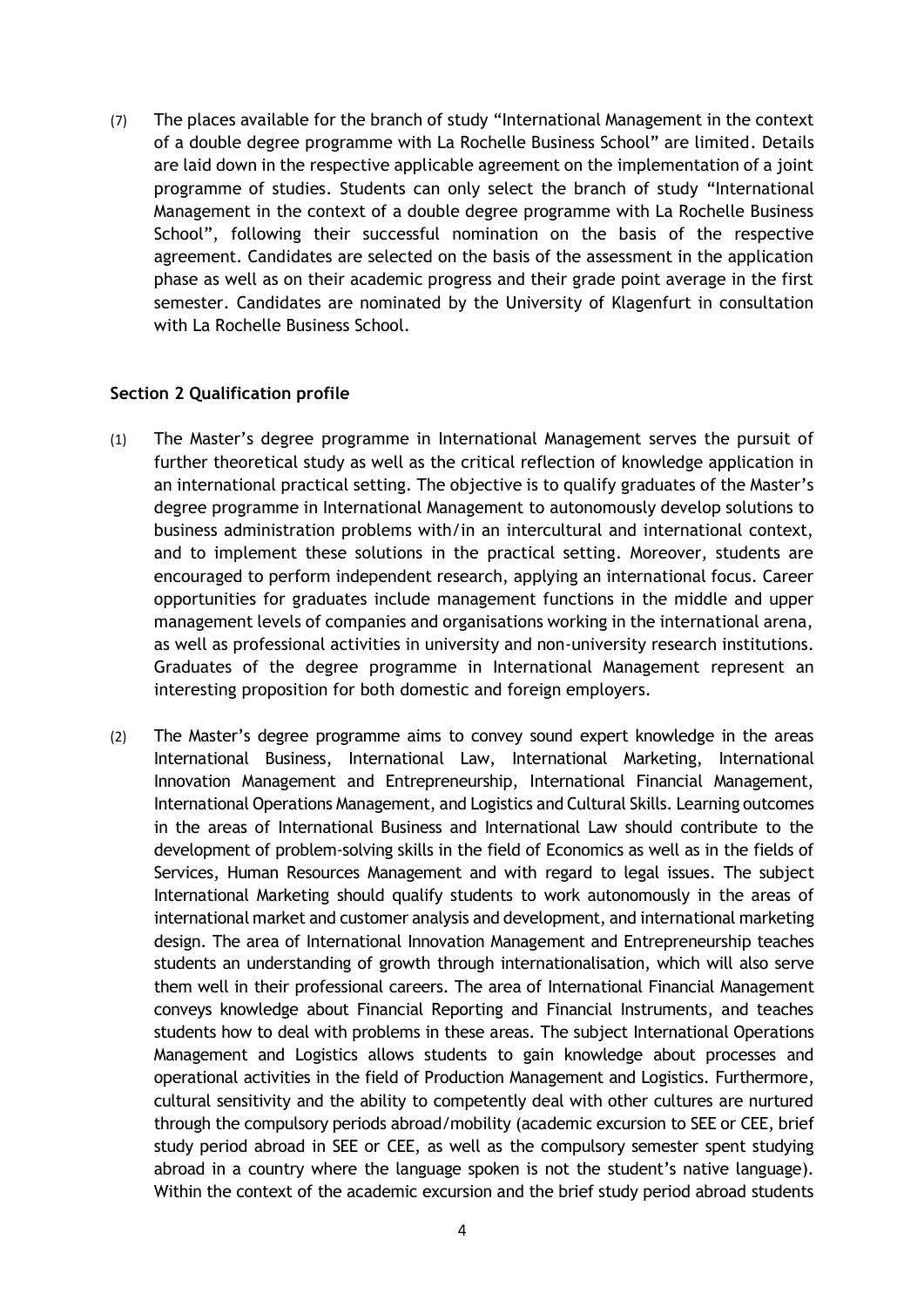(7) The places available for the branch of study "International Management in the context of a double degree programme with La Rochelle Business School" are limited. Details are laid down in the respective applicable agreement on the implementation of a joint programme of studies. Students can only select the branch of study "International Management in the context of a double degree programme with La Rochelle Business School", following their successful nomination on the basis of the respective agreement. Candidates are selected on the basis of the assessment in the application phase as well as on their academic progress and their grade point average in the first semester. Candidates are nominated by the University of Klagenfurt in consultation with La Rochelle Business School.

#### **Section 2 Qualification profile**

- (1) The Master's degree programme in International Management serves the pursuit of further theoretical study as well as the critical reflection of knowledge application in an international practical setting. The objective is to qualify graduates of the Master's degree programme in International Management to autonomously develop solutions to business administration problems with/in an intercultural and international context, and to implement these solutions in the practical setting. Moreover, students are encouraged to perform independent research, applying an international focus. Career opportunities for graduates include management functions in the middle and upper management levels of companies and organisations working in the international arena, as well as professional activities in university and non-university research institutions. Graduates of the degree programme in International Management represent an interesting proposition for both domestic and foreign employers.
- (2) The Master's degree programme aims to convey sound expert knowledge in the areas International Business, International Law, International Marketing, International Innovation Management and Entrepreneurship, International Financial Management, International Operations Management, and Logistics and Cultural Skills. Learning outcomes in the areas of International Business and International Law should contribute to the development of problem-solving skills in the field of Economics as well as in the fields of Services, Human Resources Management and with regard to legal issues. The subject International Marketing should qualify students to work autonomously in the areas of international market and customer analysis and development, and international marketing design. The area of International Innovation Management and Entrepreneurship teaches students an understanding of growth through internationalisation, which will also serve them well in their professional careers. The area of International Financial Management conveys knowledge about Financial Reporting and Financial Instruments, and teaches students how to deal with problems in these areas. The subject International Operations Management and Logistics allows students to gain knowledge about processes and operational activities in the field of Production Management and Logistics. Furthermore, cultural sensitivity and the ability to competently deal with other cultures are nurtured through the compulsory periods abroad/mobility (academic excursion to SEE or CEE, brief study period abroad in SEE or CEE, as well as the compulsory semester spent studying abroad in a country where the language spoken is not the student's native language). Within the context of the academic excursion and the brief study period abroad students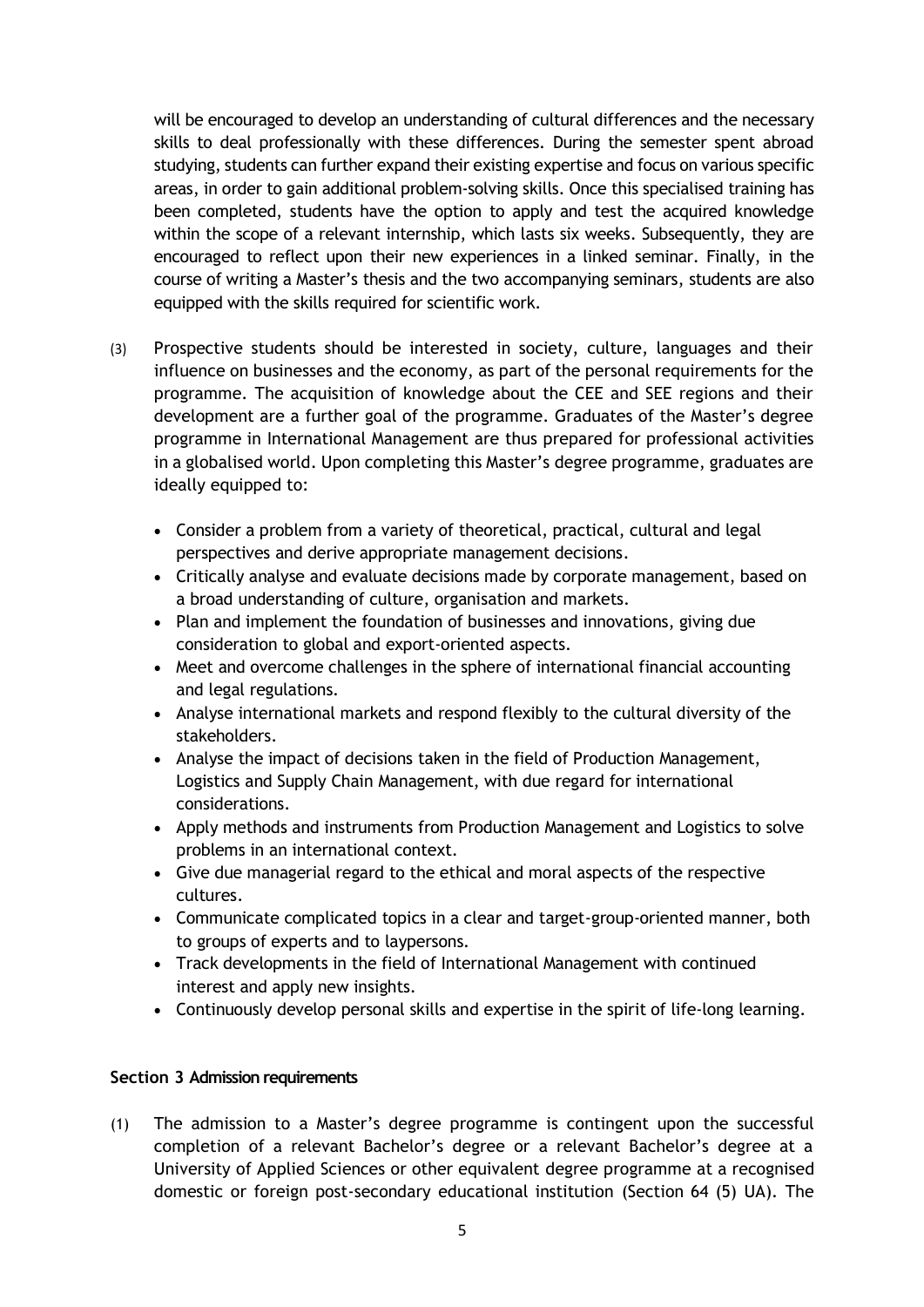will be encouraged to develop an understanding of cultural differences and the necessary skills to deal professionally with these differences. During the semester spent abroad studying, students can further expand their existing expertise and focus on various specific areas, in order to gain additional problem-solving skills. Once this specialised training has been completed, students have the option to apply and test the acquired knowledge within the scope of a relevant internship, which lasts six weeks. Subsequently, they are encouraged to reflect upon their new experiences in a linked seminar. Finally, in the course of writing a Master's thesis and the two accompanying seminars, students are also equipped with the skills required for scientific work.

- (3) Prospective students should be interested in society, culture, languages and their influence on businesses and the economy, as part of the personal requirements for the programme. The acquisition of knowledge about the CEE and SEE regions and their development are a further goal of the programme. Graduates of the Master's degree programme in International Management are thus prepared for professional activities in a globalised world. Upon completing this Master's degree programme, graduates are ideally equipped to:
	- Consider a problem from a variety of theoretical, practical, cultural and legal perspectives and derive appropriate management decisions.
	- Critically analyse and evaluate decisions made by corporate management, based on a broad understanding of culture, organisation and markets.
	- Plan and implement the foundation of businesses and innovations, giving due consideration to global and export-oriented aspects.
	- Meet and overcome challenges in the sphere of international financial accounting and legal regulations.
	- Analyse international markets and respond flexibly to the cultural diversity of the stakeholders.
	- Analyse the impact of decisions taken in the field of Production Management, Logistics and Supply Chain Management, with due regard for international considerations.
	- Apply methods and instruments from Production Management and Logistics to solve problems in an international context.
	- Give due managerial regard to the ethical and moral aspects of the respective cultures.
	- Communicate complicated topics in a clear and target-group-oriented manner, both to groups of experts and to laypersons.
	- Track developments in the field of International Management with continued interest and apply new insights.
	- Continuously develop personal skills and expertise in the spirit of life-long learning.

#### **Section 3 Admission requirements**

(1) The admission to a Master's degree programme is contingent upon the successful completion of a relevant Bachelor's degree or a relevant Bachelor's degree at a University of Applied Sciences or other equivalent degree programme at a recognised domestic or foreign post-secondary educational institution (Section 64 (5) UA). The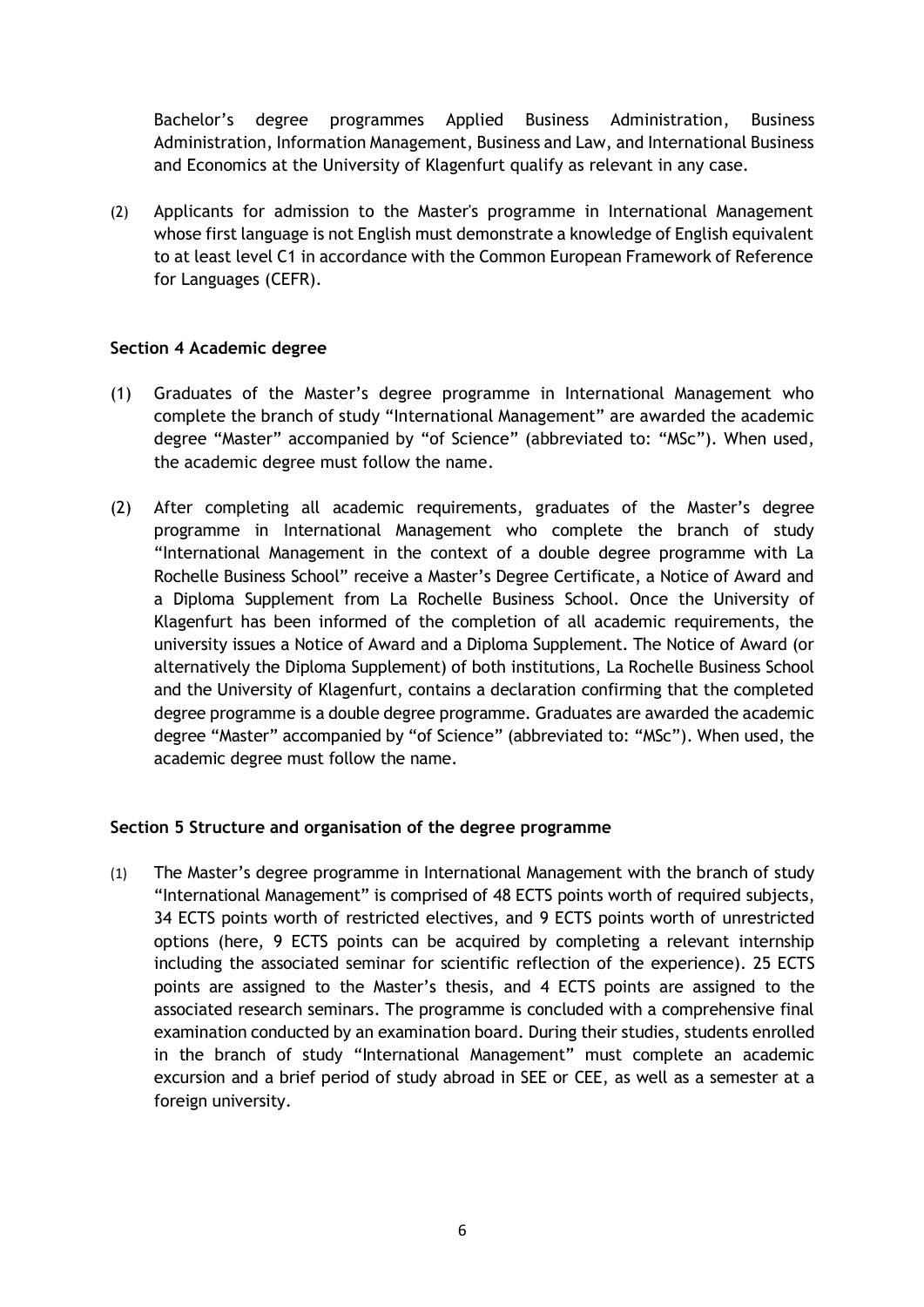Bachelor's degree programmes Applied Business Administration, Business Administration, Information Management, Business and Law, and International Business and Economics at the University of Klagenfurt qualify as relevant in any case.

(2) Applicants for admission to the Master's programme in International Management whose first language is not English must demonstrate a knowledge of English equivalent to at least level C1 in accordance with the Common European Framework of Reference for Languages (CEFR).

#### **Section 4 Academic degree**

- (1) Graduates of the Master's degree programme in International Management who complete the branch of study "International Management" are awarded the academic degree "Master" accompanied by "of Science" (abbreviated to: "MSc"). When used, the academic degree must follow the name.
- (2) After completing all academic requirements, graduates of the Master's degree programme in International Management who complete the branch of study "International Management in the context of a double degree programme with La Rochelle Business School" receive a Master's Degree Certificate, a Notice of Award and a Diploma Supplement from La Rochelle Business School. Once the University of Klagenfurt has been informed of the completion of all academic requirements, the university issues a Notice of Award and a Diploma Supplement. The Notice of Award (or alternatively the Diploma Supplement) of both institutions, La Rochelle Business School and the University of Klagenfurt, contains a declaration confirming that the completed degree programme is a double degree programme. Graduates are awarded the academic degree "Master" accompanied by "of Science" (abbreviated to: "MSc"). When used, the academic degree must follow the name.

#### **Section 5 Structure and organisation of the degree programme**

(1) The Master's degree programme in International Management with the branch of study "International Management" is comprised of 48 ECTS points worth of required subjects, 34 ECTS points worth of restricted electives, and 9 ECTS points worth of unrestricted options (here, 9 ECTS points can be acquired by completing a relevant internship including the associated seminar for scientific reflection of the experience). 25 ECTS points are assigned to the Master's thesis, and 4 ECTS points are assigned to the associated research seminars. The programme is concluded with a comprehensive final examination conducted by an examination board. During their studies, students enrolled in the branch of study "International Management" must complete an academic excursion and a brief period of study abroad in SEE or CEE, as well as a semester at a foreign university.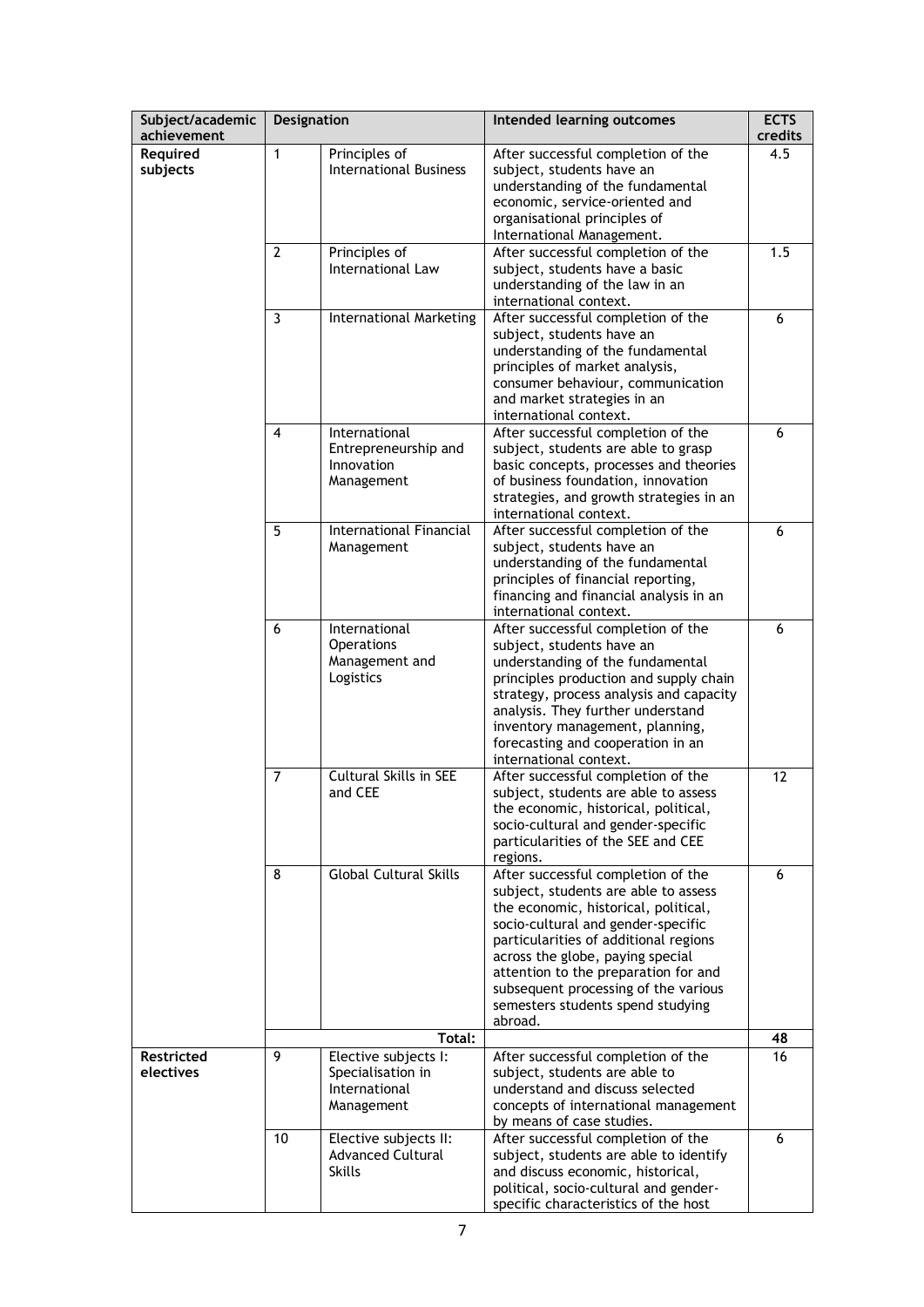| Subject/academic               | <b>Designation</b> |                                                                          | Intended learning outcomes                                                                                                                                                                                                                                                                                                                                            | <b>ECTS</b> |
|--------------------------------|--------------------|--------------------------------------------------------------------------|-----------------------------------------------------------------------------------------------------------------------------------------------------------------------------------------------------------------------------------------------------------------------------------------------------------------------------------------------------------------------|-------------|
| achievement                    |                    |                                                                          |                                                                                                                                                                                                                                                                                                                                                                       | credits     |
| Required<br>subjects           | $\mathbf{1}$       | Principles of<br><b>International Business</b>                           | After successful completion of the<br>subject, students have an<br>understanding of the fundamental<br>economic, service-oriented and<br>organisational principles of<br>International Management.                                                                                                                                                                    | 4.5         |
|                                | $\overline{2}$     | Principles of<br>International Law                                       | After successful completion of the<br>subject, students have a basic<br>understanding of the law in an<br>international context.                                                                                                                                                                                                                                      | 1.5         |
|                                | 3                  | <b>International Marketing</b>                                           | After successful completion of the<br>subject, students have an<br>understanding of the fundamental<br>principles of market analysis,<br>consumer behaviour, communication<br>and market strategies in an<br>international context.                                                                                                                                   | 6           |
|                                | 4                  | International<br>Entrepreneurship and<br>Innovation<br>Management        | After successful completion of the<br>subject, students are able to grasp<br>basic concepts, processes and theories<br>of business foundation, innovation<br>strategies, and growth strategies in an<br>international context.                                                                                                                                        | 6           |
|                                | 5                  | International Financial<br>Management                                    | After successful completion of the<br>subject, students have an<br>understanding of the fundamental<br>principles of financial reporting,<br>financing and financial analysis in an<br>international context.                                                                                                                                                         | 6           |
|                                | 6                  | International<br><b>Operations</b><br>Management and<br>Logistics        | After successful completion of the<br>subject, students have an<br>understanding of the fundamental<br>principles production and supply chain<br>strategy, process analysis and capacity<br>analysis. They further understand<br>inventory management, planning,<br>forecasting and cooperation in an<br>international context.                                       | 6           |
|                                | $\overline{7}$     | Cultural Skills in SEE<br>and CEE                                        | After successful completion of the<br>subject, students are able to assess<br>the economic, historical, political,<br>socio-cultural and gender-specific<br>particularities of the SEE and CEE<br>regions.                                                                                                                                                            | 12          |
|                                | 8                  | <b>Global Cultural Skills</b>                                            | After successful completion of the<br>subject, students are able to assess<br>the economic, historical, political,<br>socio-cultural and gender-specific<br>particularities of additional regions<br>across the globe, paying special<br>attention to the preparation for and<br>subsequent processing of the various<br>semesters students spend studying<br>abroad. | 6           |
|                                |                    | Total:                                                                   |                                                                                                                                                                                                                                                                                                                                                                       | 48          |
| <b>Restricted</b><br>electives | 9                  | Elective subjects I:<br>Specialisation in<br>International<br>Management | After successful completion of the<br>subject, students are able to<br>understand and discuss selected<br>concepts of international management<br>by means of case studies.                                                                                                                                                                                           | 16          |
|                                | 10                 | Elective subjects II:<br><b>Advanced Cultural</b><br><b>Skills</b>       | After successful completion of the<br>subject, students are able to identify<br>and discuss economic, historical,<br>political, socio-cultural and gender-<br>specific characteristics of the host                                                                                                                                                                    | 6           |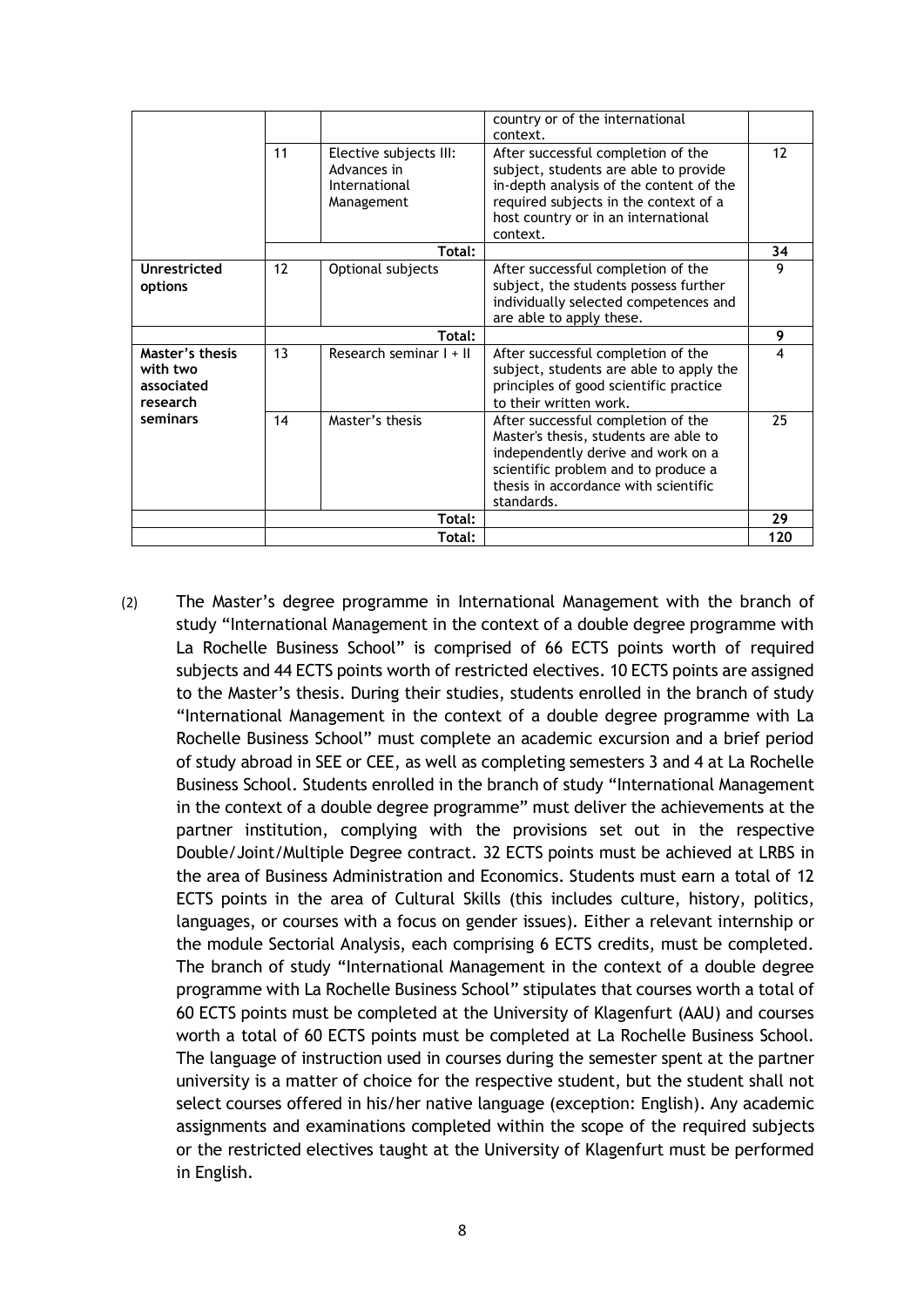|                                                       |    |                                                                      | country or of the international<br>context.                                                                                                                                                                        |    |
|-------------------------------------------------------|----|----------------------------------------------------------------------|--------------------------------------------------------------------------------------------------------------------------------------------------------------------------------------------------------------------|----|
|                                                       | 11 | Elective subjects III:<br>Advances in<br>International<br>Management | After successful completion of the<br>subject, students are able to provide<br>in-depth analysis of the content of the<br>required subjects in the context of a<br>host country or in an international<br>context. | 12 |
|                                                       |    | Total:                                                               |                                                                                                                                                                                                                    | 34 |
| Unrestricted<br>options                               | 12 | Optional subjects                                                    | After successful completion of the<br>subject, the students possess further<br>individually selected competences and<br>are able to apply these.                                                                   | 9  |
|                                                       |    | Total:                                                               |                                                                                                                                                                                                                    | 9  |
| Master's thesis<br>with two<br>associated<br>research | 13 | Research seminar I + II                                              | After successful completion of the<br>subject, students are able to apply the<br>principles of good scientific practice<br>to their written work.                                                                  | 4  |
| seminars                                              | 14 | Master's thesis                                                      | After successful completion of the<br>Master's thesis, students are able to<br>independently derive and work on a<br>scientific problem and to produce a<br>thesis in accordance with scientific<br>standards.     | 25 |
|                                                       |    | Total:                                                               |                                                                                                                                                                                                                    | 29 |
|                                                       |    |                                                                      |                                                                                                                                                                                                                    |    |

(2) The Master's degree programme in International Management with the branch of study "International Management in the context of a double degree programme with La Rochelle Business School" is comprised of 66 ECTS points worth of required subjects and 44 ECTS points worth of restricted electives. 10 ECTS points are assigned to the Master's thesis. During their studies, students enrolled in the branch of study "International Management in the context of a double degree programme with La Rochelle Business School" must complete an academic excursion and a brief period of study abroad in SEE or CEE, as well as completing semesters 3 and 4 at La Rochelle Business School. Students enrolled in the branch of study "International Management in the context of a double degree programme" must deliver the achievements at the partner institution, complying with the provisions set out in the respective Double/Joint/Multiple Degree contract. 32 ECTS points must be achieved at LRBS in the area of Business Administration and Economics. Students must earn a total of 12 ECTS points in the area of Cultural Skills (this includes culture, history, politics, languages, or courses with a focus on gender issues). Either a relevant internship or the module Sectorial Analysis, each comprising 6 ECTS credits, must be completed. The branch of study "International Management in the context of a double degree programme with La Rochelle Business School" stipulates that courses worth a total of 60 ECTS points must be completed at the University of Klagenfurt (AAU) and courses worth a total of 60 ECTS points must be completed at La Rochelle Business School. The language of instruction used in courses during the semester spent at the partner university is a matter of choice for the respective student, but the student shall not select courses offered in his/her native language (exception: English). Any academic assignments and examinations completed within the scope of the required subjects or the restricted electives taught at the University of Klagenfurt must be performed in English.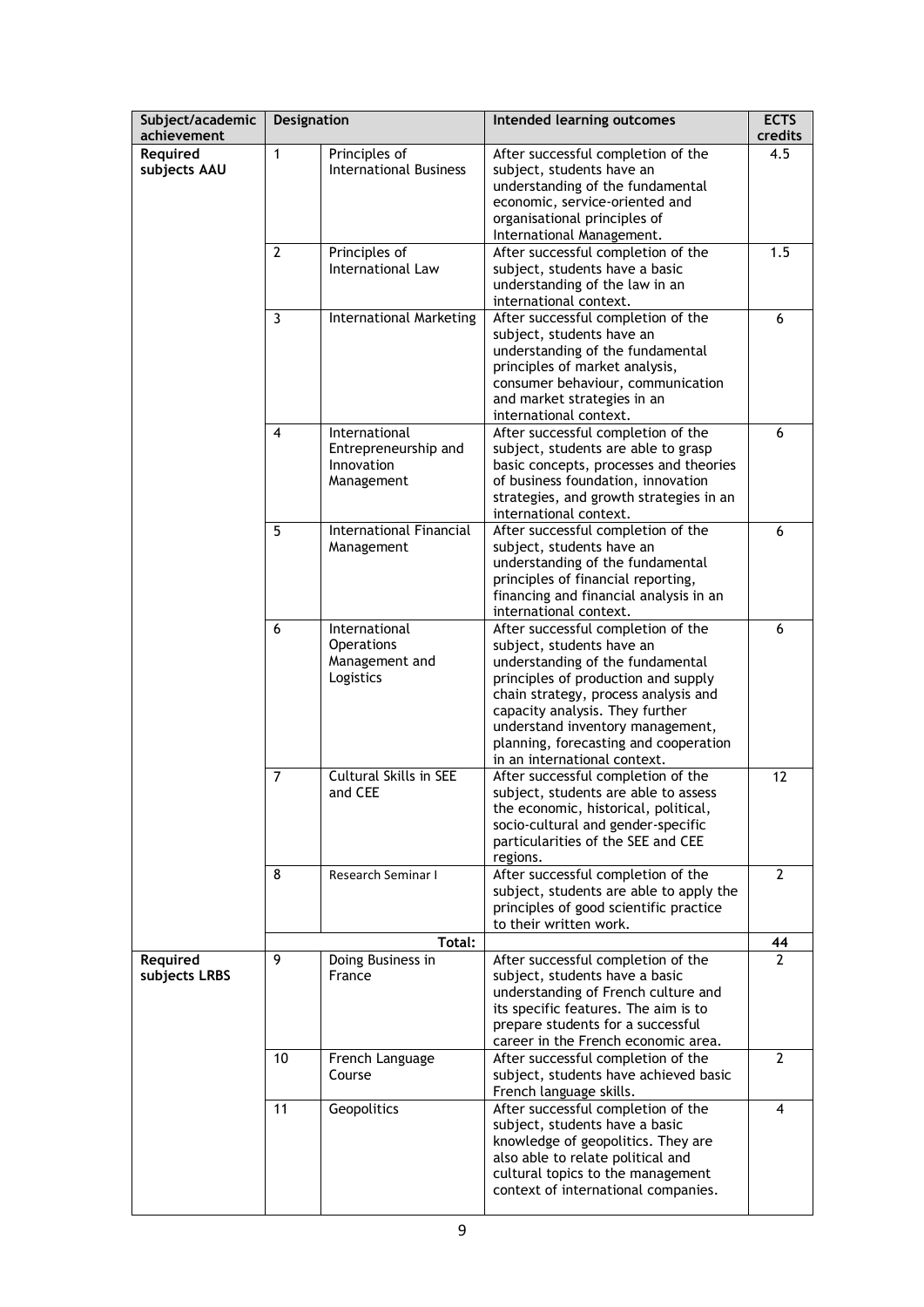| Subject/academic          | <b>Designation</b> |                                                                   | Intended learning outcomes                                                                                                                                                                                                                                                                                                         | <b>ECTS</b>    |
|---------------------------|--------------------|-------------------------------------------------------------------|------------------------------------------------------------------------------------------------------------------------------------------------------------------------------------------------------------------------------------------------------------------------------------------------------------------------------------|----------------|
| achievement               |                    |                                                                   |                                                                                                                                                                                                                                                                                                                                    | credits        |
| Required<br>subjects AAU  | 1                  | Principles of<br><b>International Business</b>                    | After successful completion of the<br>subject, students have an<br>understanding of the fundamental<br>economic, service-oriented and<br>organisational principles of<br>International Management.                                                                                                                                 | 4.5            |
|                           | $\mathbf{2}$       | Principles of<br>International Law                                | After successful completion of the<br>subject, students have a basic<br>understanding of the law in an<br>international context.                                                                                                                                                                                                   | 1.5            |
|                           | 3                  | <b>International Marketing</b>                                    | After successful completion of the<br>subject, students have an<br>understanding of the fundamental<br>principles of market analysis,<br>consumer behaviour, communication<br>and market strategies in an<br>international context.                                                                                                | 6              |
|                           | 4                  | International<br>Entrepreneurship and<br>Innovation<br>Management | After successful completion of the<br>subject, students are able to grasp<br>basic concepts, processes and theories<br>of business foundation, innovation<br>strategies, and growth strategies in an<br>international context.                                                                                                     | 6              |
|                           | 5                  | International Financial<br>Management                             | After successful completion of the<br>subject, students have an<br>understanding of the fundamental<br>principles of financial reporting,<br>financing and financial analysis in an<br>international context.                                                                                                                      | 6              |
|                           | 6                  | International<br><b>Operations</b><br>Management and<br>Logistics | After successful completion of the<br>subject, students have an<br>understanding of the fundamental<br>principles of production and supply<br>chain strategy, process analysis and<br>capacity analysis. They further<br>understand inventory management,<br>planning, forecasting and cooperation<br>in an international context. | 6              |
|                           | $\overline{7}$     | Cultural Skills in SEE<br>and CEE                                 | After successful completion of the<br>subject, students are able to assess<br>the economic, historical, political,<br>socio-cultural and gender-specific<br>particularities of the SEE and CEE<br>regions.                                                                                                                         | 12             |
|                           | 8                  | Research Seminar I                                                | After successful completion of the<br>subject, students are able to apply the<br>principles of good scientific practice<br>to their written work.                                                                                                                                                                                  | 2              |
|                           |                    | Total:                                                            |                                                                                                                                                                                                                                                                                                                                    | 44             |
| Required<br>subjects LRBS | 9                  | Doing Business in<br>France                                       | After successful completion of the<br>subject, students have a basic<br>understanding of French culture and<br>its specific features. The aim is to<br>prepare students for a successful<br>career in the French economic area.                                                                                                    | 2              |
|                           | 10                 | French Language<br>Course                                         | After successful completion of the<br>subject, students have achieved basic<br>French language skills.                                                                                                                                                                                                                             | $\overline{2}$ |
|                           | 11                 | Geopolitics                                                       | After successful completion of the<br>subject, students have a basic<br>knowledge of geopolitics. They are<br>also able to relate political and<br>cultural topics to the management<br>context of international companies.                                                                                                        | 4              |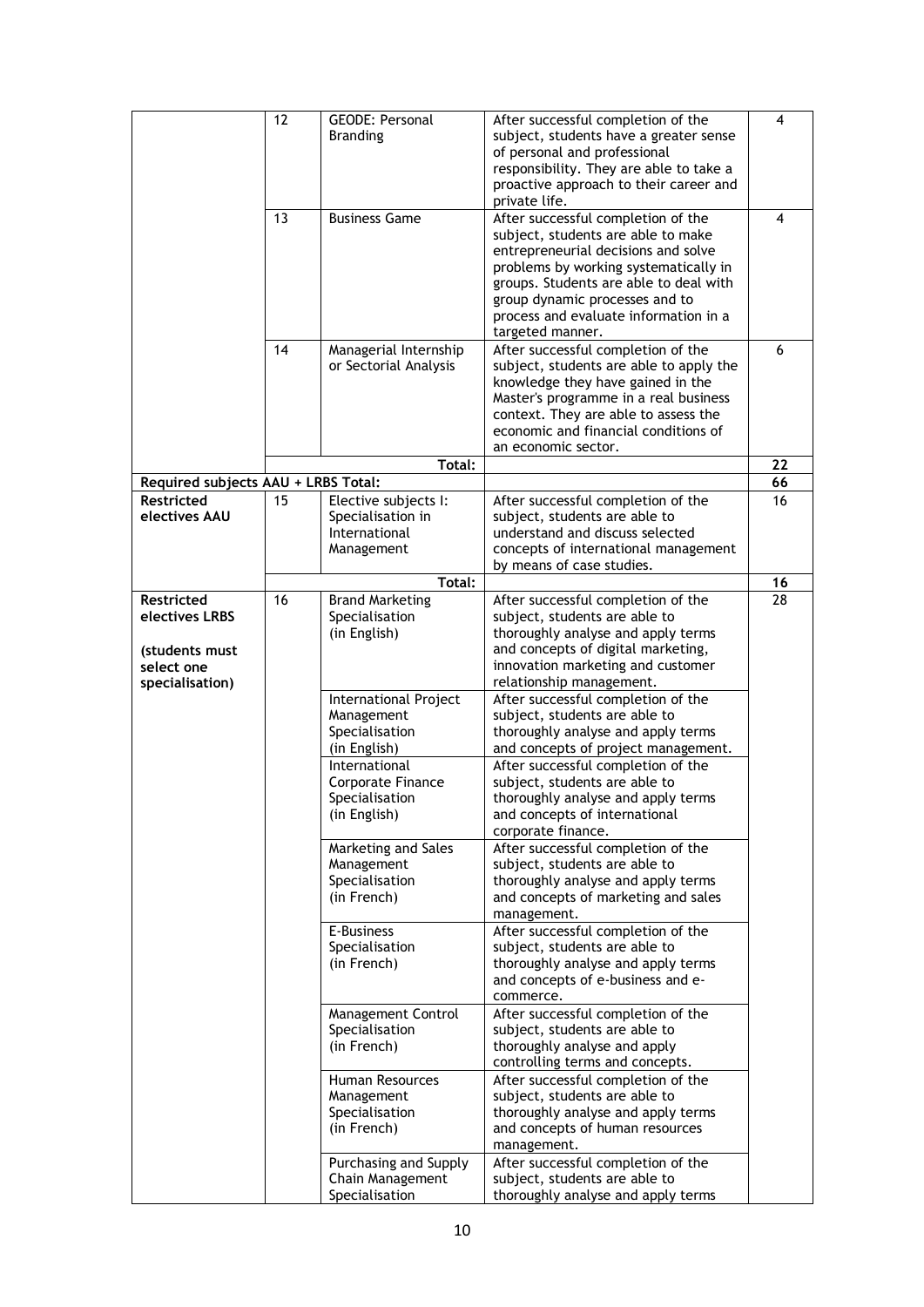|                                                                                 | 12 | <b>GEODE: Personal</b><br><b>Branding</b>                                | After successful completion of the<br>subject, students have a greater sense<br>of personal and professional<br>responsibility. They are able to take a<br>proactive approach to their career and<br>private life.                                                                                | 4  |
|---------------------------------------------------------------------------------|----|--------------------------------------------------------------------------|---------------------------------------------------------------------------------------------------------------------------------------------------------------------------------------------------------------------------------------------------------------------------------------------------|----|
|                                                                                 | 13 | <b>Business Game</b>                                                     | After successful completion of the<br>subject, students are able to make<br>entrepreneurial decisions and solve<br>problems by working systematically in<br>groups. Students are able to deal with<br>group dynamic processes and to<br>process and evaluate information in a<br>targeted manner. | 4  |
|                                                                                 | 14 | Managerial Internship<br>or Sectorial Analysis                           | After successful completion of the<br>subject, students are able to apply the<br>knowledge they have gained in the<br>Master's programme in a real business<br>context. They are able to assess the<br>economic and financial conditions of<br>an economic sector.                                | 6  |
|                                                                                 |    | Total:                                                                   |                                                                                                                                                                                                                                                                                                   | 22 |
| Required subjects AAU + LRBS Total:                                             |    |                                                                          |                                                                                                                                                                                                                                                                                                   | 66 |
| <b>Restricted</b><br>electives AAU                                              | 15 | Elective subjects I:<br>Specialisation in<br>International<br>Management | After successful completion of the<br>subject, students are able to<br>understand and discuss selected<br>concepts of international management<br>by means of case studies.                                                                                                                       | 16 |
|                                                                                 |    | Total:                                                                   |                                                                                                                                                                                                                                                                                                   | 16 |
| Restricted<br>electives LRBS<br>(students must<br>select one<br>specialisation) | 16 | <b>Brand Marketing</b><br>Specialisation<br>(in English)                 | After successful completion of the<br>subject, students are able to<br>thoroughly analyse and apply terms<br>and concepts of digital marketing,<br>innovation marketing and customer<br>relationship management.                                                                                  | 28 |
|                                                                                 |    | International Project<br>Management<br>Specialisation<br>(in English)    | After successful completion of the<br>subject, students are able to<br>thoroughly analyse and apply terms<br>and concepts of project management.                                                                                                                                                  |    |
|                                                                                 |    | International<br>Corporate Finance<br>Specialisation<br>(in English)     | After successful completion of the<br>subject, students are able to<br>thoroughly analyse and apply terms<br>and concepts of international<br>corporate finance.                                                                                                                                  |    |
|                                                                                 |    | Marketing and Sales<br>Management<br>Specialisation<br>(in French)       | After successful completion of the<br>subject, students are able to<br>thoroughly analyse and apply terms<br>and concepts of marketing and sales<br>management.                                                                                                                                   |    |
|                                                                                 |    | E-Business<br>Specialisation<br>(in French)                              | After successful completion of the<br>subject, students are able to<br>thoroughly analyse and apply terms<br>and concepts of e-business and e-<br>commerce.                                                                                                                                       |    |
|                                                                                 |    | Management Control<br>Specialisation<br>(in French)                      | After successful completion of the<br>subject, students are able to<br>thoroughly analyse and apply<br>controlling terms and concepts.                                                                                                                                                            |    |
|                                                                                 |    | Human Resources<br>Management<br>Specialisation<br>(in French)           | After successful completion of the<br>subject, students are able to<br>thoroughly analyse and apply terms<br>and concepts of human resources<br>management.                                                                                                                                       |    |
|                                                                                 |    | Purchasing and Supply<br>Chain Management<br>Specialisation              | After successful completion of the<br>subject, students are able to<br>thoroughly analyse and apply terms                                                                                                                                                                                         |    |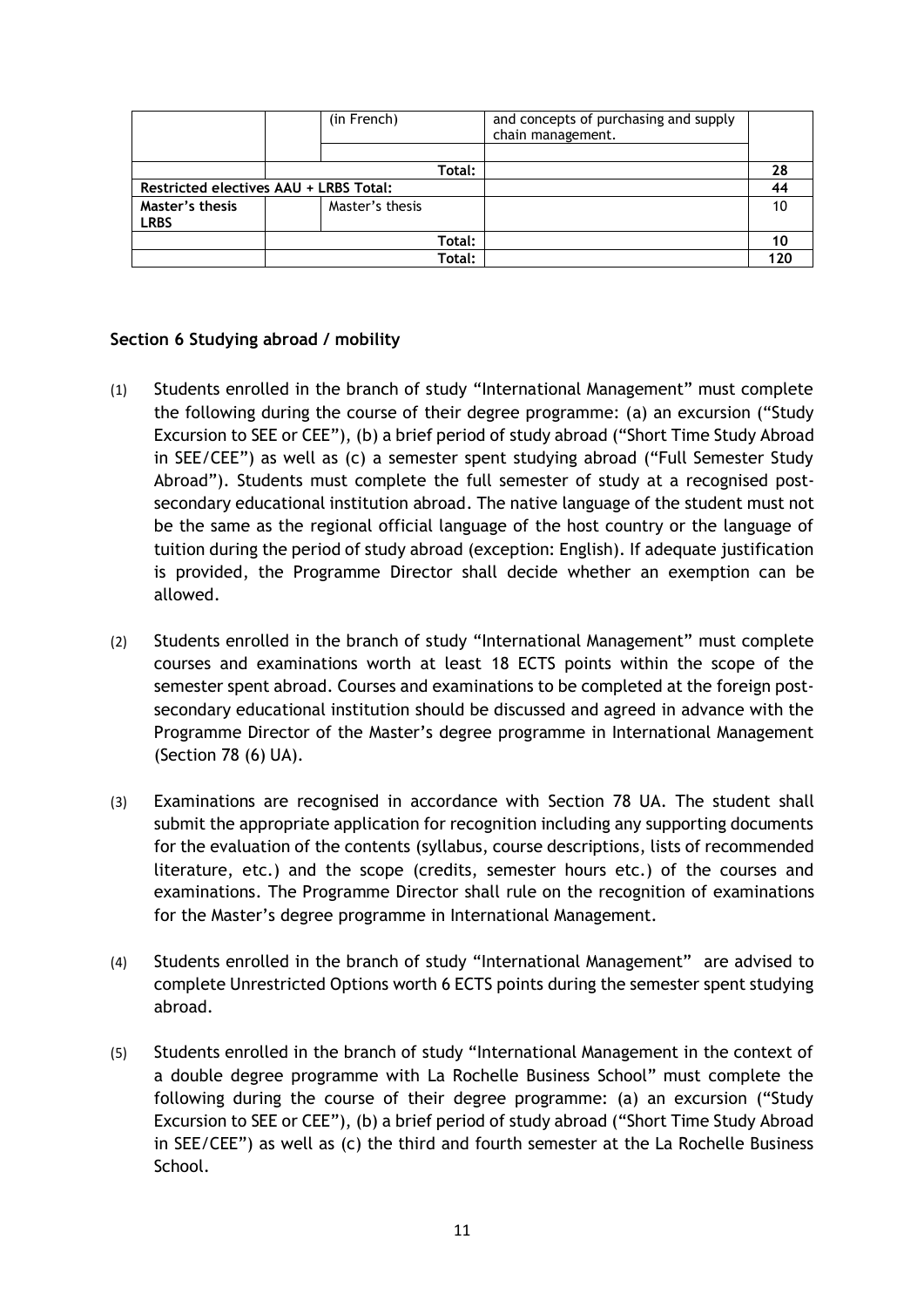|                                        | (in French)     |        | and concepts of purchasing and supply<br>chain management. |     |
|----------------------------------------|-----------------|--------|------------------------------------------------------------|-----|
|                                        |                 |        |                                                            |     |
|                                        |                 | Total: |                                                            | 28  |
| Restricted electives AAU + LRBS Total: |                 |        |                                                            |     |
| Master's thesis                        | Master's thesis |        |                                                            |     |
| <b>LRBS</b>                            |                 |        |                                                            |     |
|                                        |                 | Total: |                                                            |     |
|                                        |                 | Total: |                                                            | 120 |

#### **Section 6 Studying abroad / mobility**

- (1) Students enrolled in the branch of study "International Management" must complete the following during the course of their degree programme: (a) an excursion ("Study Excursion to SEE or CEE"), (b) a brief period of study abroad ("Short Time Study Abroad in SEE/CEE") as well as (c) a semester spent studying abroad ("Full Semester Study Abroad"). Students must complete the full semester of study at a recognised postsecondary educational institution abroad. The native language of the student must not be the same as the regional official language of the host country or the language of tuition during the period of study abroad (exception: English). If adequate justification is provided, the Programme Director shall decide whether an exemption can be allowed.
- (2) Students enrolled in the branch of study "International Management" must complete courses and examinations worth at least 18 ECTS points within the scope of the semester spent abroad. Courses and examinations to be completed at the foreign postsecondary educational institution should be discussed and agreed in advance with the Programme Director of the Master's degree programme in International Management (Section 78 (6) UA).
- (3) Examinations are recognised in accordance with Section 78 UA. The student shall submit the appropriate application for recognition including any supporting documents for the evaluation of the contents (syllabus, course descriptions, lists of recommended literature, etc.) and the scope (credits, semester hours etc.) of the courses and examinations. The Programme Director shall rule on the recognition of examinations for the Master's degree programme in International Management.
- (4) Students enrolled in the branch of study "International Management" are advised to complete Unrestricted Options worth 6 ECTS points during the semester spent studying abroad.
- (5) Students enrolled in the branch of study "International Management in the context of a double degree programme with La Rochelle Business School" must complete the following during the course of their degree programme: (a) an excursion ("Study Excursion to SEE or CEE"), (b) a brief period of study abroad ("Short Time Study Abroad in SEE/CEE") as well as (c) the third and fourth semester at the La Rochelle Business School.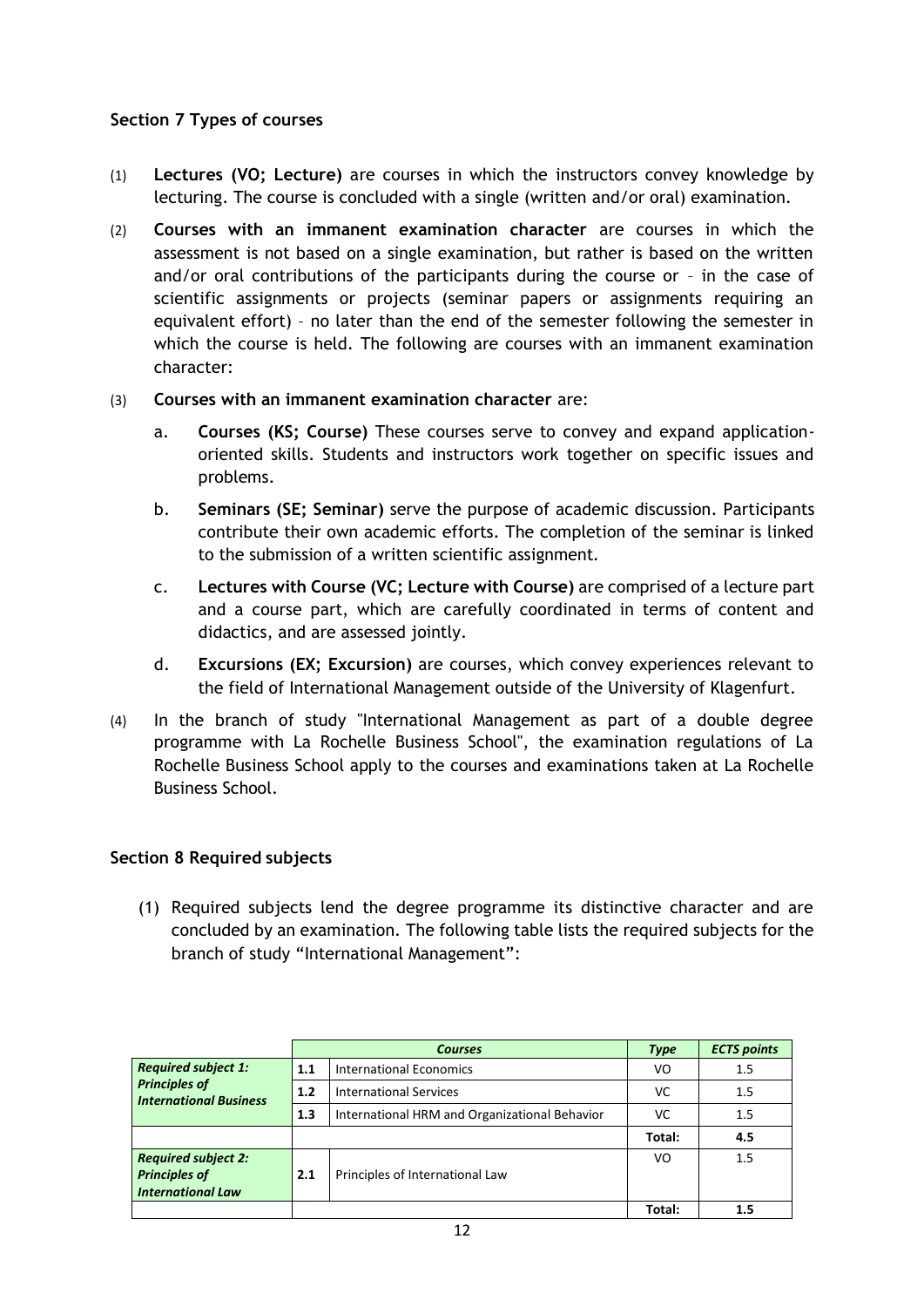#### **Section 7 Types of courses**

- (1) **Lectures (VO; Lecture)** are courses in which the instructors convey knowledge by lecturing. The course is concluded with a single (written and/or oral) examination.
- (2) **Courses with an immanent examination character** are courses in which the assessment is not based on a single examination, but rather is based on the written and/or oral contributions of the participants during the course or – in the case of scientific assignments or projects (seminar papers or assignments requiring an equivalent effort) – no later than the end of the semester following the semester in which the course is held. The following are courses with an immanent examination character:
- (3) **Courses with an immanent examination character** are:
	- a. **Courses (KS; Course)** These courses serve to convey and expand applicationoriented skills. Students and instructors work together on specific issues and problems.
	- b. **Seminars (SE; Seminar)** serve the purpose of academic discussion. Participants contribute their own academic efforts. The completion of the seminar is linked to the submission of a written scientific assignment.
	- c. **Lectures with Course (VC; Lecture with Course)** are comprised of a lecture part and a course part, which are carefully coordinated in terms of content and didactics, and are assessed jointly.
	- d. **Excursions (EX; Excursion)** are courses, which convey experiences relevant to the field of International Management outside of the University of Klagenfurt.
- (4) In the branch of study "International Management as part of a double degree programme with La Rochelle Business School", the examination regulations of La Rochelle Business School apply to the courses and examinations taken at La Rochelle Business School.

#### **Section 8 Required subjects**

(1) Required subjects lend the degree programme its distinctive character and are concluded by an examination. The following table lists the required subjects for the branch of study "International Management":

|                                                                                     |     | <b>Courses</b>                                | <b>Type</b> | <b>ECTS points</b> |
|-------------------------------------------------------------------------------------|-----|-----------------------------------------------|-------------|--------------------|
| <b>Required subject 1:</b><br><b>Principles of</b><br><b>International Business</b> | 1.1 | International Economics                       | VO          | 1.5                |
|                                                                                     | 1.2 | <b>International Services</b>                 | VC          | 1.5                |
|                                                                                     | 1.3 | International HRM and Organizational Behavior | VC          | 1.5                |
|                                                                                     |     |                                               | Total:      | 4.5                |
| <b>Required subject 2:</b><br><b>Principles of</b><br><b>International Law</b>      | 2.1 | Principles of International Law               | VO          | 1.5                |
|                                                                                     |     |                                               | Total:      |                    |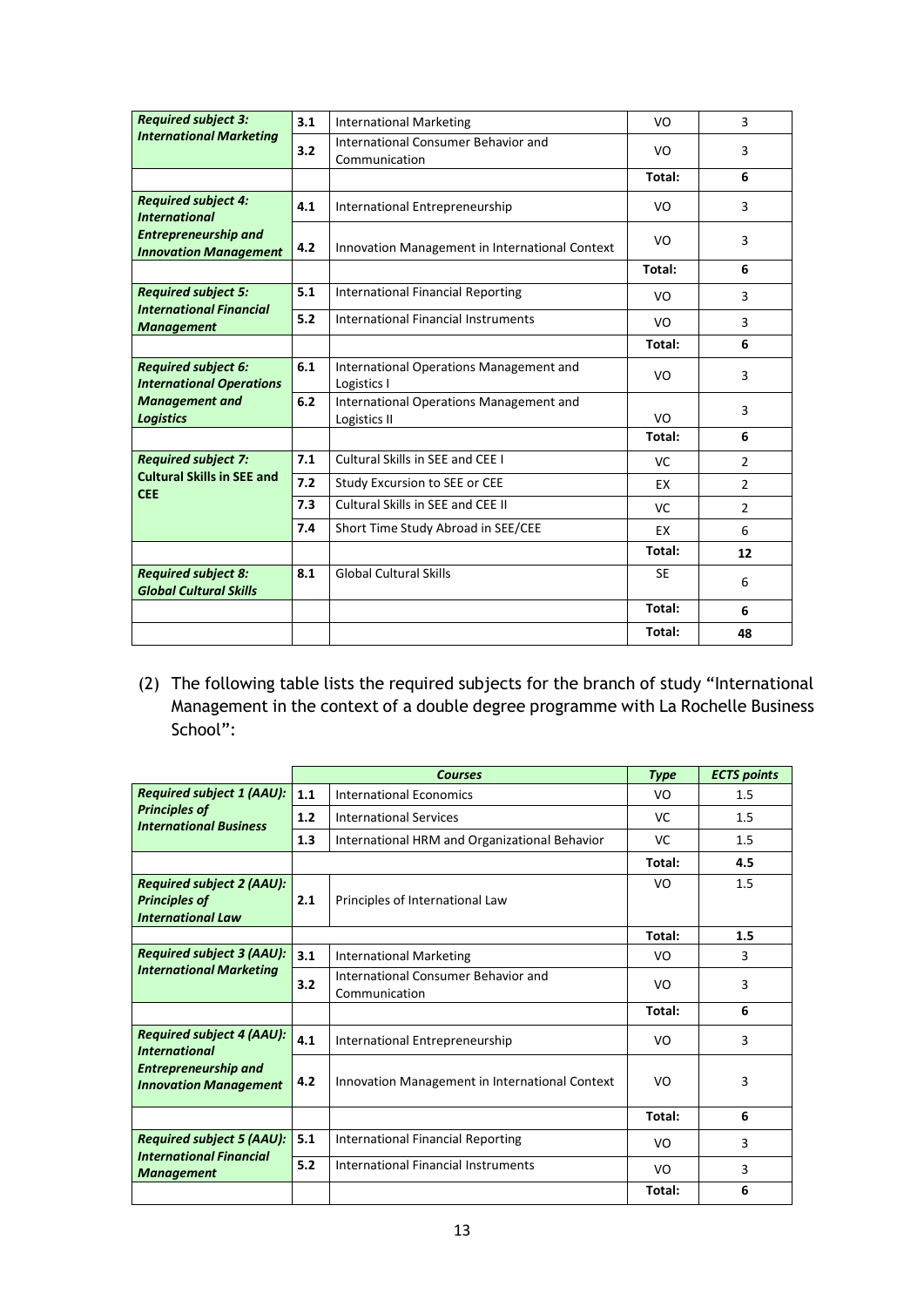| <b>Required subject 3:</b>                                    | 3.1 | <b>International Marketing</b>                          | VO        | 3              |
|---------------------------------------------------------------|-----|---------------------------------------------------------|-----------|----------------|
| <b>International Marketing</b>                                | 3.2 | International Consumer Behavior and<br>Communication    | VO        | 3              |
|                                                               |     |                                                         | Total:    | 6              |
| <b>Required subject 4:</b><br><b>International</b>            | 4.1 | International Entrepreneurship                          | VO        | 3              |
| <b>Entrepreneurship and</b><br><b>Innovation Management</b>   | 4.2 | Innovation Management in International Context          | VO        | 3              |
|                                                               |     |                                                         | Total:    | 6              |
| <b>Required subject 5:</b><br><b>International Financial</b>  | 5.1 | <b>International Financial Reporting</b>                | VO        | 3              |
| <b>Management</b>                                             | 5.2 | International Financial Instruments                     | VO        | 3              |
|                                                               |     |                                                         | Total:    | 6              |
| <b>Required subject 6:</b><br><b>International Operations</b> | 6.1 | International Operations Management and<br>Logistics I  | VO        | 3              |
| <b>Management and</b><br><b>Logistics</b>                     | 6.2 | International Operations Management and<br>Logistics II | VO        | 3              |
|                                                               |     |                                                         | Total:    | 6              |
| <b>Required subject 7:</b>                                    | 7.1 | Cultural Skills in SEE and CEE I                        | <b>VC</b> | $\overline{2}$ |
| <b>Cultural Skills in SEE and</b><br><b>CEE</b>               | 7.2 | Study Excursion to SEE or CEE                           | EX        | $\overline{2}$ |
|                                                               | 7.3 | Cultural Skills in SEE and CEE II                       | <b>VC</b> | $\overline{2}$ |
|                                                               | 7.4 | Short Time Study Abroad in SEE/CEE                      | EX        | 6              |
|                                                               |     |                                                         | Total:    | 12             |
| <b>Required subject 8:</b><br><b>Global Cultural Skills</b>   | 8.1 | <b>Global Cultural Skills</b>                           | <b>SE</b> | 6              |
|                                                               |     |                                                         | Total:    | 6              |
|                                                               |     |                                                         | Total:    | 48             |

(2) The following table lists the required subjects for the branch of study "International Management in the context of a double degree programme with La Rochelle Business School":

|                                                                                      |     | <b>Courses</b>                                       | <b>Type</b>    | <b>ECTS points</b> |
|--------------------------------------------------------------------------------------|-----|------------------------------------------------------|----------------|--------------------|
| <b>Required subject 1 (AAU):</b>                                                     | 1.1 | <b>International Economics</b>                       | VO             | 1.5                |
| <b>Principles of</b><br><b>International Business</b>                                | 1.2 | <b>International Services</b>                        | VC             | 1.5                |
|                                                                                      | 1.3 | International HRM and Organizational Behavior        | VC             | 1.5                |
|                                                                                      |     |                                                      | Total:         | 4.5                |
| <b>Required subject 2 (AAU):</b><br><b>Principles of</b><br><b>International Law</b> | 2.1 | Principles of International Law                      | VO.            | 1.5                |
|                                                                                      |     |                                                      | Total:         | 1.5                |
| <b>Required subject 3 (AAU):</b><br><b>International Marketing</b>                   | 3.1 | <b>International Marketing</b>                       | VO             | 3                  |
|                                                                                      | 3.2 | International Consumer Behavior and<br>Communication | VO             | 3                  |
|                                                                                      |     |                                                      | Total:         | 6                  |
| <b>Required subject 4 (AAU):</b><br><b>International</b>                             | 4.1 | International Entrepreneurship                       | VO             | 3                  |
| <b>Entrepreneurship and</b><br><b>Innovation Management</b>                          | 4.2 | Innovation Management in International Context       | VO             | 3                  |
|                                                                                      |     |                                                      | Total:         | 6                  |
| <b>Required subject 5 (AAU):</b><br><b>International Financial</b>                   | 5.1 | <b>International Financial Reporting</b>             | VO             | 3                  |
| <b>Management</b>                                                                    | 5.2 | International Financial Instruments                  | V <sub>O</sub> | 3                  |
|                                                                                      |     |                                                      | Total:         | 6                  |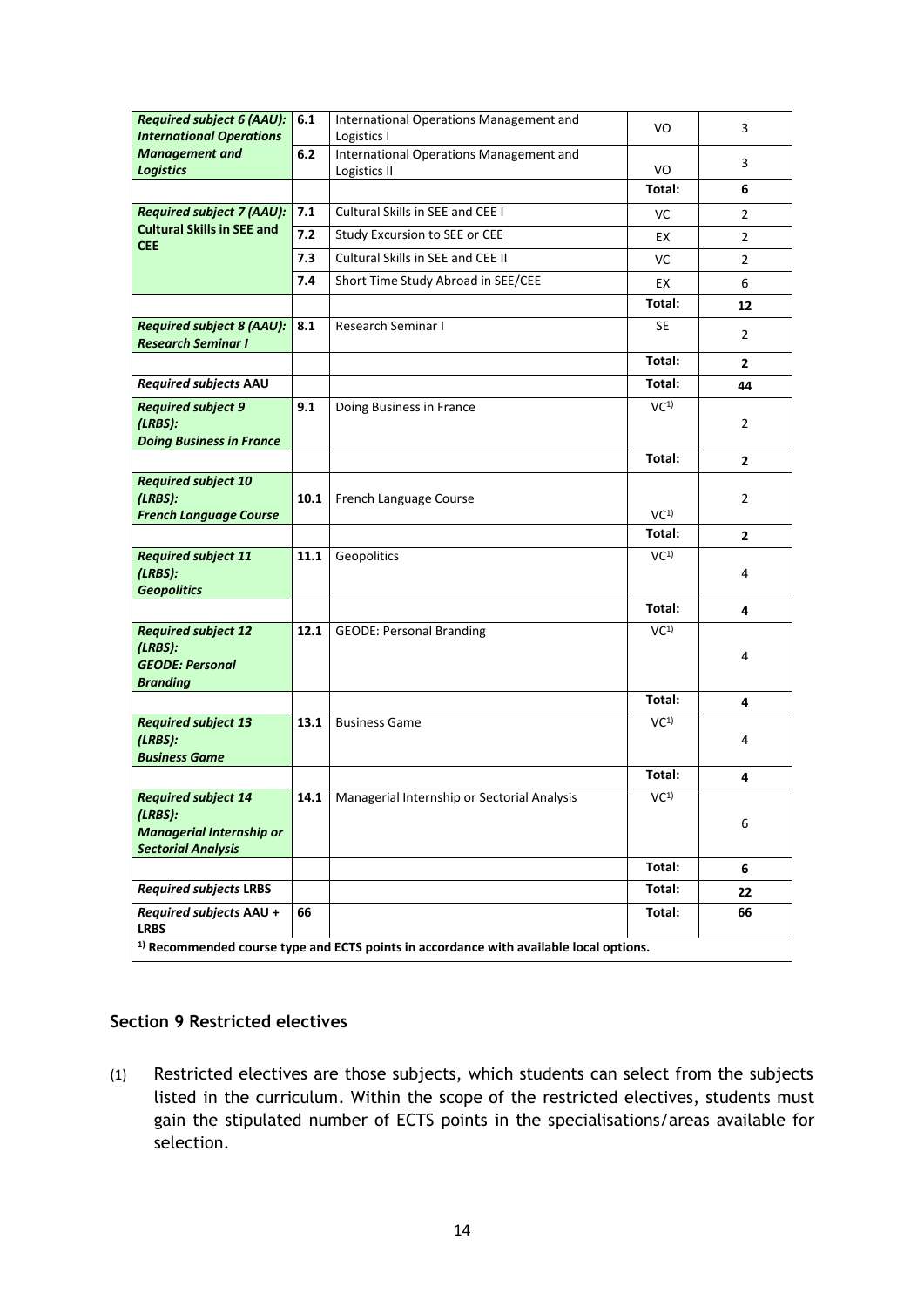| <b>Required subject 6 (AAU):</b>                                                                      | 6.1  | International Operations Management and     | VO              | 3              |  |  |
|-------------------------------------------------------------------------------------------------------|------|---------------------------------------------|-----------------|----------------|--|--|
| <b>International Operations</b>                                                                       |      | Logistics I                                 |                 |                |  |  |
| <b>Management and</b>                                                                                 | 6.2  | International Operations Management and     |                 | 3              |  |  |
| <b>Logistics</b>                                                                                      |      | Logistics II                                | VO              |                |  |  |
|                                                                                                       |      |                                             | Total:          | 6              |  |  |
| <b>Required subject 7 (AAU):</b>                                                                      | 7.1  | Cultural Skills in SEE and CEE I            | VC              | $\overline{2}$ |  |  |
| <b>Cultural Skills in SEE and</b><br><b>CEE</b>                                                       | 7.2  | Study Excursion to SEE or CEE               | EX              | $\overline{2}$ |  |  |
|                                                                                                       | 7.3  | Cultural Skills in SEE and CEE II           | VC              | $\overline{2}$ |  |  |
|                                                                                                       | 7.4  | Short Time Study Abroad in SEE/CEE          | EX              | 6              |  |  |
|                                                                                                       |      |                                             | Total:          | 12             |  |  |
| <b>Required subject 8 (AAU):</b><br><b>Research Seminar I</b>                                         | 8.1  | <b>Research Seminar I</b>                   | SE              | $\overline{2}$ |  |  |
|                                                                                                       |      |                                             | Total:          | $\mathbf{2}$   |  |  |
| Required subjects AAU                                                                                 |      |                                             | Total:          | 44             |  |  |
| <b>Required subject 9</b><br>(LRBS):<br><b>Doing Business in France</b>                               | 9.1  | Doing Business in France                    | VC <sup>1</sup> | $\overline{2}$ |  |  |
|                                                                                                       |      |                                             | Total:          | $\mathbf{2}$   |  |  |
| <b>Required subject 10</b><br>(LRBS):<br><b>French Language Course</b>                                | 10.1 | French Language Course                      | VC <sup>1</sup> | $\overline{2}$ |  |  |
|                                                                                                       |      |                                             | Total:          | $\mathbf{2}$   |  |  |
| <b>Required subject 11</b><br>(LRBS):<br><b>Geopolitics</b>                                           | 11.1 | Geopolitics                                 | VC <sup>1</sup> | 4              |  |  |
|                                                                                                       |      |                                             | Total:          | 4              |  |  |
| <b>Required subject 12</b><br>(LRBS):<br><b>GEODE: Personal</b><br><b>Branding</b>                    | 12.1 | <b>GEODE: Personal Branding</b>             | VC <sup>1</sup> | 4              |  |  |
|                                                                                                       |      |                                             | Total:          | 4              |  |  |
| <b>Required subject 13</b><br>(LRBS):<br><b>Business Game</b>                                         | 13.1 | <b>Business Game</b>                        | VC <sup>1</sup> | 4              |  |  |
|                                                                                                       |      |                                             | Total:          | 4              |  |  |
| <b>Required subject 14</b><br>(LRBS):<br><b>Managerial Internship or</b><br><b>Sectorial Analysis</b> | 14.1 | Managerial Internship or Sectorial Analysis | VC <sup>1</sup> | 6              |  |  |
|                                                                                                       |      |                                             | Total:          | 6              |  |  |
| <b>Required subjects LRBS</b>                                                                         |      |                                             | Total:          | 22             |  |  |
| Required subjects AAU +<br><b>LRBS</b>                                                                | 66   |                                             | Total:          | 66             |  |  |
| <sup>1)</sup> Recommended course type and ECTS points in accordance with available local options.     |      |                                             |                 |                |  |  |

#### **Section 9 Restricted electives**

(1) Restricted electives are those subjects, which students can select from the subjects listed in the curriculum. Within the scope of the restricted electives, students must gain the stipulated number of ECTS points in the specialisations/areas available for selection.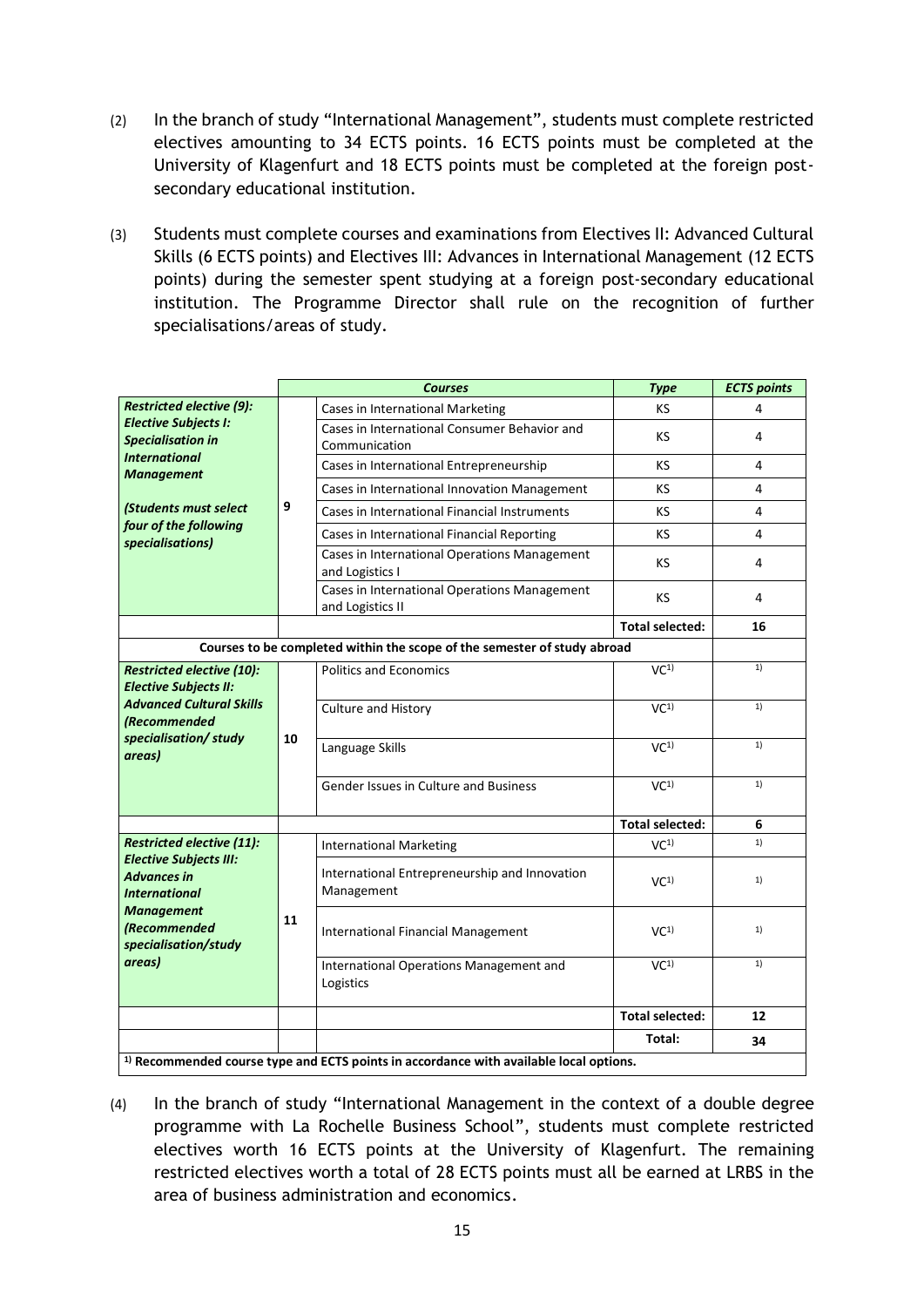- (2) In the branch of study "International Management", students must complete restricted electives amounting to 34 ECTS points. 16 ECTS points must be completed at the University of Klagenfurt and 18 ECTS points must be completed at the foreign postsecondary educational institution.
- (3) Students must complete courses and examinations from Electives II: Advanced Cultural Skills (6 ECTS points) and Electives III: Advances in International Management (12 ECTS points) during the semester spent studying at a foreign post-secondary educational institution. The Programme Director shall rule on the recognition of further specialisations/areas of study.

|                                                                                                                                                    |    | <b>Courses</b>                                                                                    | <b>Type</b>            | <b>ECTS points</b> |
|----------------------------------------------------------------------------------------------------------------------------------------------------|----|---------------------------------------------------------------------------------------------------|------------------------|--------------------|
| <b>Restricted elective (9):</b>                                                                                                                    |    | Cases in International Marketing                                                                  | KS                     | 4                  |
| <b>Elective Subjects I:</b><br><b>Specialisation in</b>                                                                                            |    | Cases in International Consumer Behavior and                                                      | KS                     | 4                  |
| <b>International</b>                                                                                                                               |    | Communication                                                                                     |                        |                    |
| <b>Management</b>                                                                                                                                  |    | Cases in International Entrepreneurship                                                           | KS                     | 4                  |
|                                                                                                                                                    |    | Cases in International Innovation Management                                                      | KS                     | 4                  |
| (Students must select                                                                                                                              | 9  | Cases in International Financial Instruments                                                      | KS                     | 4                  |
| four of the following<br>specialisations)                                                                                                          |    | Cases in International Financial Reporting                                                        | ΚS                     | 4                  |
|                                                                                                                                                    |    | Cases in International Operations Management<br>and Logistics I                                   | KS                     | 4                  |
|                                                                                                                                                    |    | Cases in International Operations Management<br>and Logistics II                                  | KS                     | 4                  |
|                                                                                                                                                    |    |                                                                                                   | <b>Total selected:</b> | 16                 |
|                                                                                                                                                    |    | Courses to be completed within the scope of the semester of study abroad                          |                        |                    |
| <b>Restricted elective (10):</b><br><b>Elective Subjects II:</b>                                                                                   | 10 | <b>Politics and Economics</b>                                                                     | VC <sup>1</sup>        | 1)                 |
| <b>Advanced Cultural Skills</b><br><b>(Recommended)</b>                                                                                            |    | Culture and History                                                                               | VC <sup>1</sup>        | 1)                 |
| specialisation/ study<br>areas)                                                                                                                    |    | Language Skills                                                                                   | VC <sup>1</sup>        | 1)                 |
|                                                                                                                                                    |    | Gender Issues in Culture and Business                                                             | VC <sup>1</sup>        | 1)                 |
|                                                                                                                                                    |    |                                                                                                   | <b>Total selected:</b> | 6                  |
| Restricted elective (11):                                                                                                                          |    | <b>International Marketing</b>                                                                    | VC <sup>1</sup>        | 1)                 |
| <b>Elective Subjects III:</b><br><b>Advances in</b><br><b>International</b><br><b>Management</b><br>(Recommended<br>specialisation/study<br>areas) | 11 | International Entrepreneurship and Innovation<br>Management                                       | VC <sup>1</sup>        | 1)                 |
|                                                                                                                                                    |    | <b>International Financial Management</b>                                                         | VC <sup>1</sup>        | 1)                 |
|                                                                                                                                                    |    | International Operations Management and<br>Logistics                                              | VC <sup>1</sup>        | 1)                 |
|                                                                                                                                                    |    |                                                                                                   | <b>Total selected:</b> | 12                 |
|                                                                                                                                                    |    |                                                                                                   | Total:                 | 34                 |
|                                                                                                                                                    |    | <sup>1)</sup> Recommended course type and ECTS points in accordance with available local options. |                        |                    |

(4) In the branch of study "International Management in the context of a double degree programme with La Rochelle Business School", students must complete restricted electives worth 16 ECTS points at the University of Klagenfurt. The remaining restricted electives worth a total of 28 ECTS points must all be earned at LRBS in the area of business administration and economics.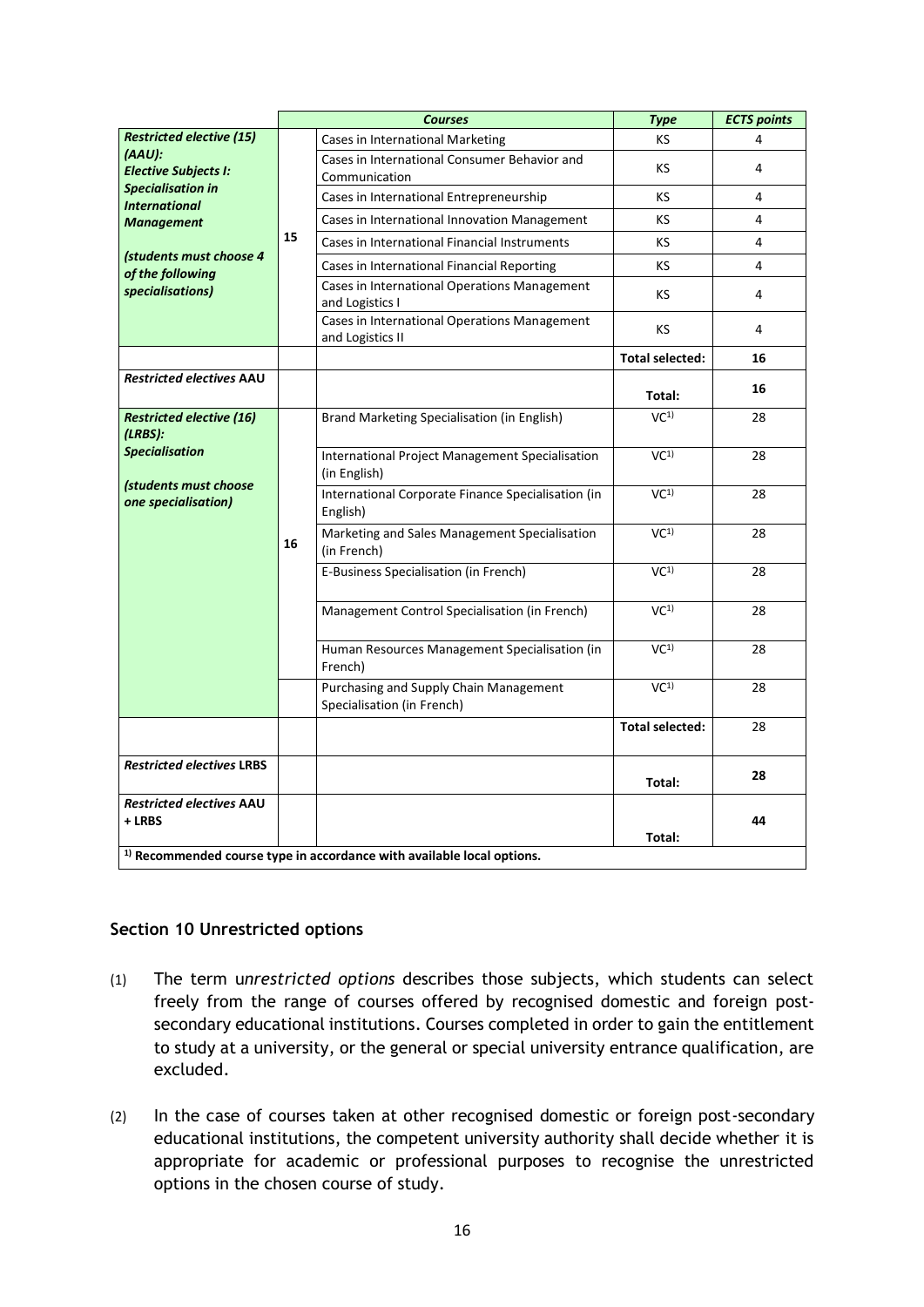|                                                  |    | <b>Courses</b>                                                                    | <b>Type</b>            | <b>ECTS points</b> |
|--------------------------------------------------|----|-----------------------------------------------------------------------------------|------------------------|--------------------|
| <b>Restricted elective (15)</b>                  |    | Cases in International Marketing                                                  | KS                     | Δ                  |
| (AAU):<br><b>Elective Subjects I:</b>            |    | Cases in International Consumer Behavior and<br>Communication                     | ΚS                     | 4                  |
| <b>Specialisation in</b><br><b>International</b> |    | Cases in International Entrepreneurship                                           | ΚS                     | 4                  |
| <b>Management</b>                                |    | Cases in International Innovation Management                                      | KS                     | 4                  |
|                                                  | 15 | Cases in International Financial Instruments                                      | ΚS                     | 4                  |
| (students must choose 4<br>of the following      |    | Cases in International Financial Reporting                                        | ΚS                     | 4                  |
| specialisations)                                 |    | Cases in International Operations Management<br>and Logistics I                   | KS                     | 4                  |
|                                                  |    | Cases in International Operations Management<br>and Logistics II                  | <b>KS</b>              | 4                  |
|                                                  |    |                                                                                   | <b>Total selected:</b> | 16                 |
| <b>Restricted electives AAU</b>                  |    |                                                                                   | Total:                 | 16                 |
| <b>Restricted elective (16)</b><br>(LRBS):       |    | Brand Marketing Specialisation (in English)                                       | VC <sup>1</sup>        | 28                 |
| <b>Specialisation</b>                            |    | <b>International Project Management Specialisation</b><br>(in English)            | VC <sup>1</sup>        | 28                 |
| (students must choose<br>one specialisation)     | 16 | International Corporate Finance Specialisation (in<br>English)                    | VC <sup>1</sup>        | 28                 |
|                                                  |    | Marketing and Sales Management Specialisation<br>(in French)                      | VC <sup>1</sup>        | 28                 |
|                                                  |    | E-Business Specialisation (in French)                                             | VC <sup>1</sup>        | 28                 |
|                                                  |    | Management Control Specialisation (in French)                                     | VC <sup>1</sup>        | 28                 |
|                                                  |    | Human Resources Management Specialisation (in<br>French)                          | $\overline{VC^{1}}$    | 28                 |
|                                                  |    | Purchasing and Supply Chain Management<br>Specialisation (in French)              | $\overline{VC^{1}}$    | 28                 |
|                                                  |    |                                                                                   | <b>Total selected:</b> | 28                 |
| <b>Restricted electives LRBS</b>                 |    |                                                                                   | Total:                 | 28                 |
| <b>Restricted electives AAU</b><br>+ LRBS        |    |                                                                                   | Total:                 | 44                 |
|                                                  |    | <sup>1)</sup> Recommended course type in accordance with available local options. |                        |                    |

#### **Section 10 Unrestricted options**

- (1) The term u*nrestricted options* describes those subjects, which students can select freely from the range of courses offered by recognised domestic and foreign postsecondary educational institutions. Courses completed in order to gain the entitlement to study at a university, or the general or special university entrance qualification, are excluded.
- (2) In the case of courses taken at other recognised domestic or foreign post-secondary educational institutions, the competent university authority shall decide whether it is appropriate for academic or professional purposes to recognise the unrestricted options in the chosen course of study.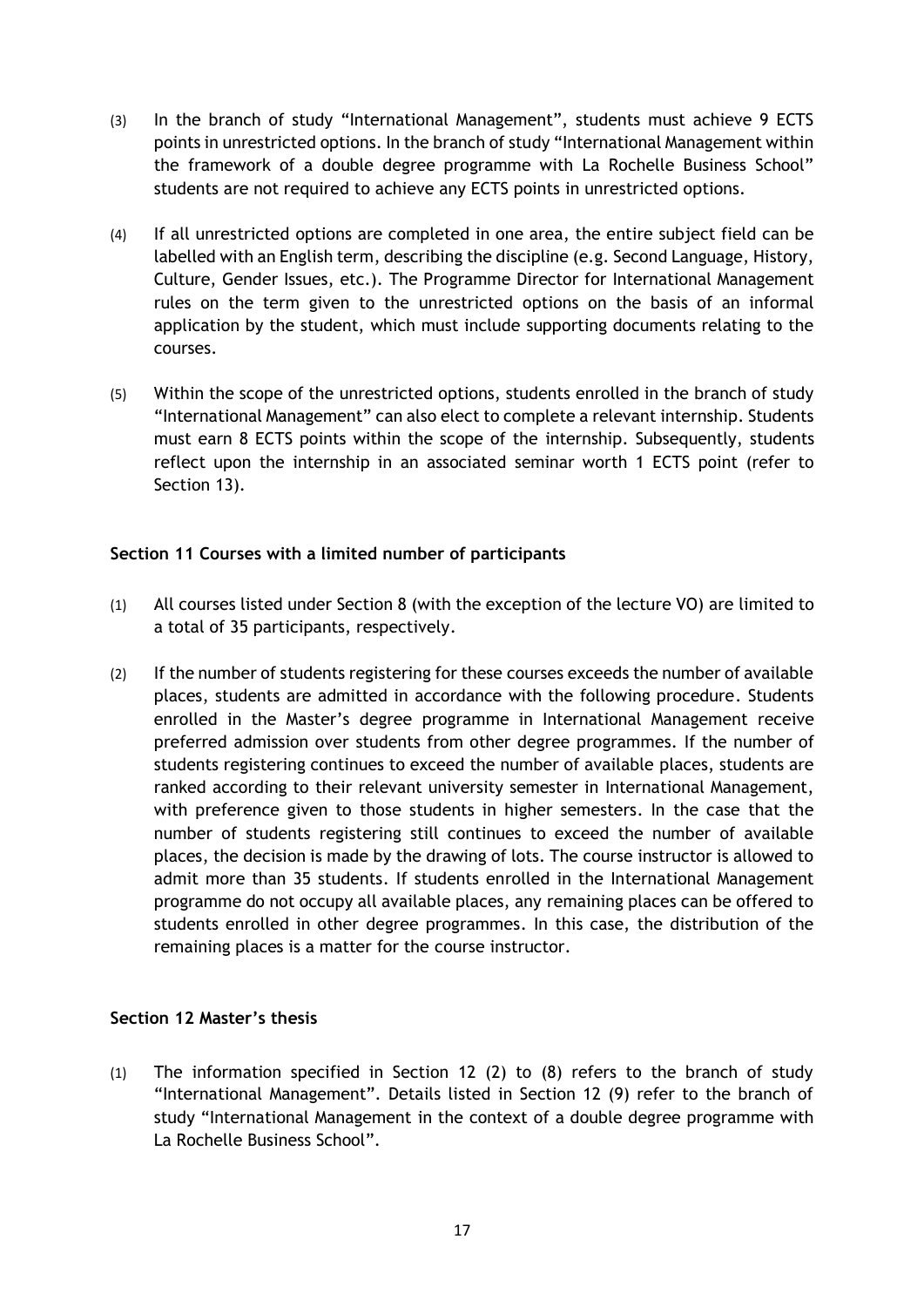- (3) In the branch of study "International Management", students must achieve 9 ECTS points in unrestricted options. In the branch of study "International Management within the framework of a double degree programme with La Rochelle Business School" students are not required to achieve any ECTS points in unrestricted options.
- (4) If all unrestricted options are completed in one area, the entire subject field can be labelled with an English term, describing the discipline (e.g. Second Language, History, Culture, Gender Issues, etc.). The Programme Director for International Management rules on the term given to the unrestricted options on the basis of an informal application by the student, which must include supporting documents relating to the courses.
- (5) Within the scope of the unrestricted options, students enrolled in the branch of study "International Management" can also elect to complete a relevant internship. Students must earn 8 ECTS points within the scope of the internship. Subsequently, students reflect upon the internship in an associated seminar worth 1 ECTS point (refer to Section 13).

#### **Section 11 Courses with a limited number of participants**

- (1) All courses listed under Section 8 (with the exception of the lecture VO) are limited to a total of 35 participants, respectively.
- (2) If the number of students registering for these courses exceeds the number of available places, students are admitted in accordance with the following procedure. Students enrolled in the Master's degree programme in International Management receive preferred admission over students from other degree programmes. If the number of students registering continues to exceed the number of available places, students are ranked according to their relevant university semester in International Management, with preference given to those students in higher semesters. In the case that the number of students registering still continues to exceed the number of available places, the decision is made by the drawing of lots. The course instructor is allowed to admit more than 35 students. If students enrolled in the International Management programme do not occupy all available places, any remaining places can be offered to students enrolled in other degree programmes. In this case, the distribution of the remaining places is a matter for the course instructor.

#### **Section 12 Master's thesis**

(1) The information specified in Section 12 (2) to (8) refers to the branch of study "International Management". Details listed in Section 12 (9) refer to the branch of study "International Management in the context of a double degree programme with La Rochelle Business School".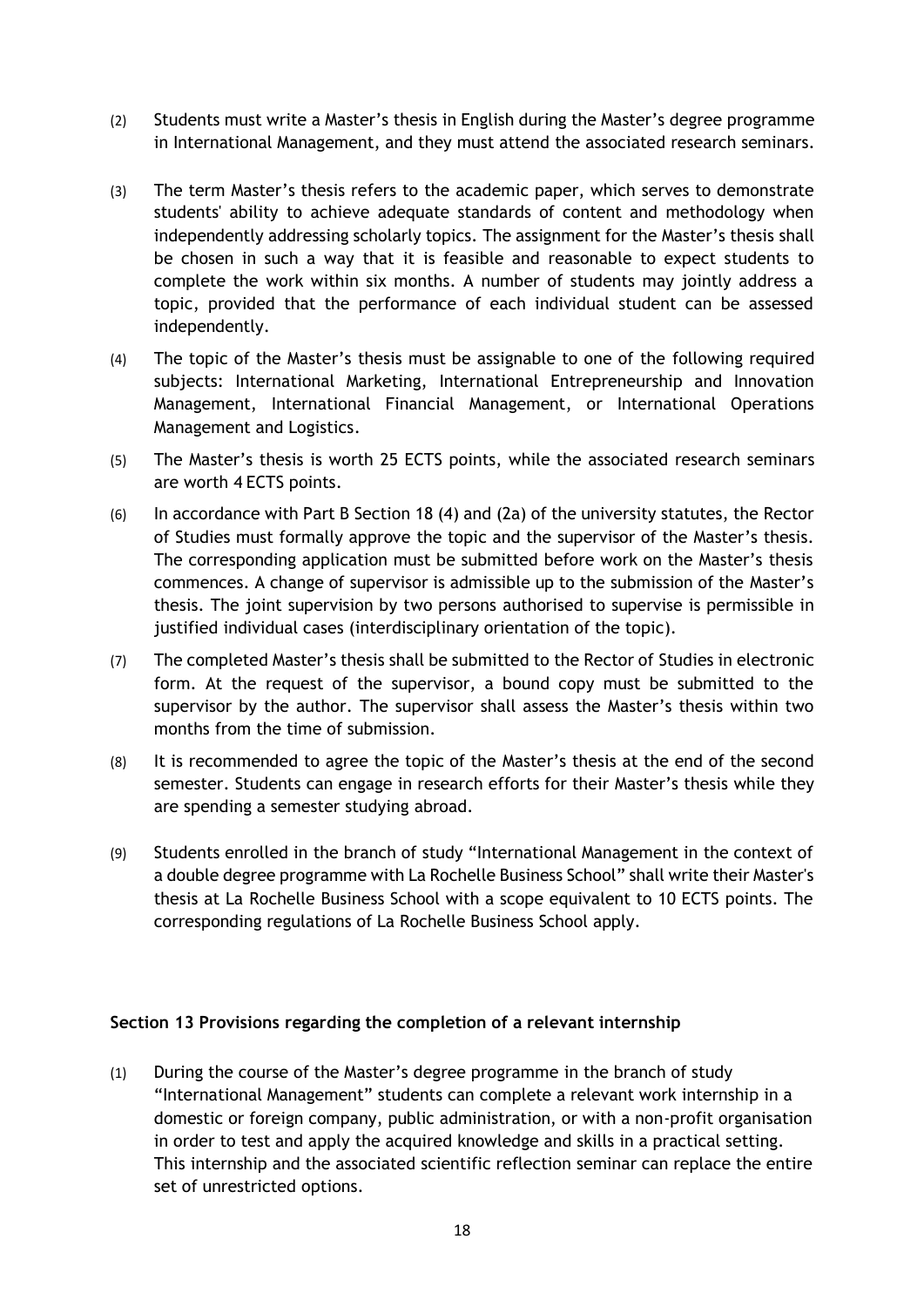- (2) Students must write a Master's thesis in English during the Master's degree programme in International Management, and they must attend the associated research seminars.
- (3) The term Master's thesis refers to the academic paper, which serves to demonstrate students' ability to achieve adequate standards of content and methodology when independently addressing scholarly topics. The assignment for the Master's thesis shall be chosen in such a way that it is feasible and reasonable to expect students to complete the work within six months. A number of students may jointly address a topic, provided that the performance of each individual student can be assessed independently.
- (4) The topic of the Master's thesis must be assignable to one of the following required subjects: International Marketing, International Entrepreneurship and Innovation Management, International Financial Management, or International Operations Management and Logistics.
- (5) The Master's thesis is worth 25 ECTS points, while the associated research seminars are worth 4 ECTS points.
- (6) In accordance with Part B Section 18 (4) and (2a) of the university statutes, the Rector of Studies must formally approve the topic and the supervisor of the Master's thesis. The corresponding application must be submitted before work on the Master's thesis commences. A change of supervisor is admissible up to the submission of the Master's thesis. The joint supervision by two persons authorised to supervise is permissible in justified individual cases (interdisciplinary orientation of the topic).
- (7) The completed Master's thesis shall be submitted to the Rector of Studies in electronic form. At the request of the supervisor, a bound copy must be submitted to the supervisor by the author. The supervisor shall assess the Master's thesis within two months from the time of submission.
- (8) It is recommended to agree the topic of the Master's thesis at the end of the second semester. Students can engage in research efforts for their Master's thesis while they are spending a semester studying abroad.
- (9) Students enrolled in the branch of study "International Management in the context of a double degree programme with La Rochelle Business School" shall write their Master's thesis at La Rochelle Business School with a scope equivalent to 10 ECTS points. The corresponding regulations of La Rochelle Business School apply.

#### **Section 13 Provisions regarding the completion of a relevant internship**

(1) During the course of the Master's degree programme in the branch of study "International Management" students can complete a relevant work internship in a domestic or foreign company, public administration, or with a non-profit organisation in order to test and apply the acquired knowledge and skills in a practical setting. This internship and the associated scientific reflection seminar can replace the entire set of unrestricted options.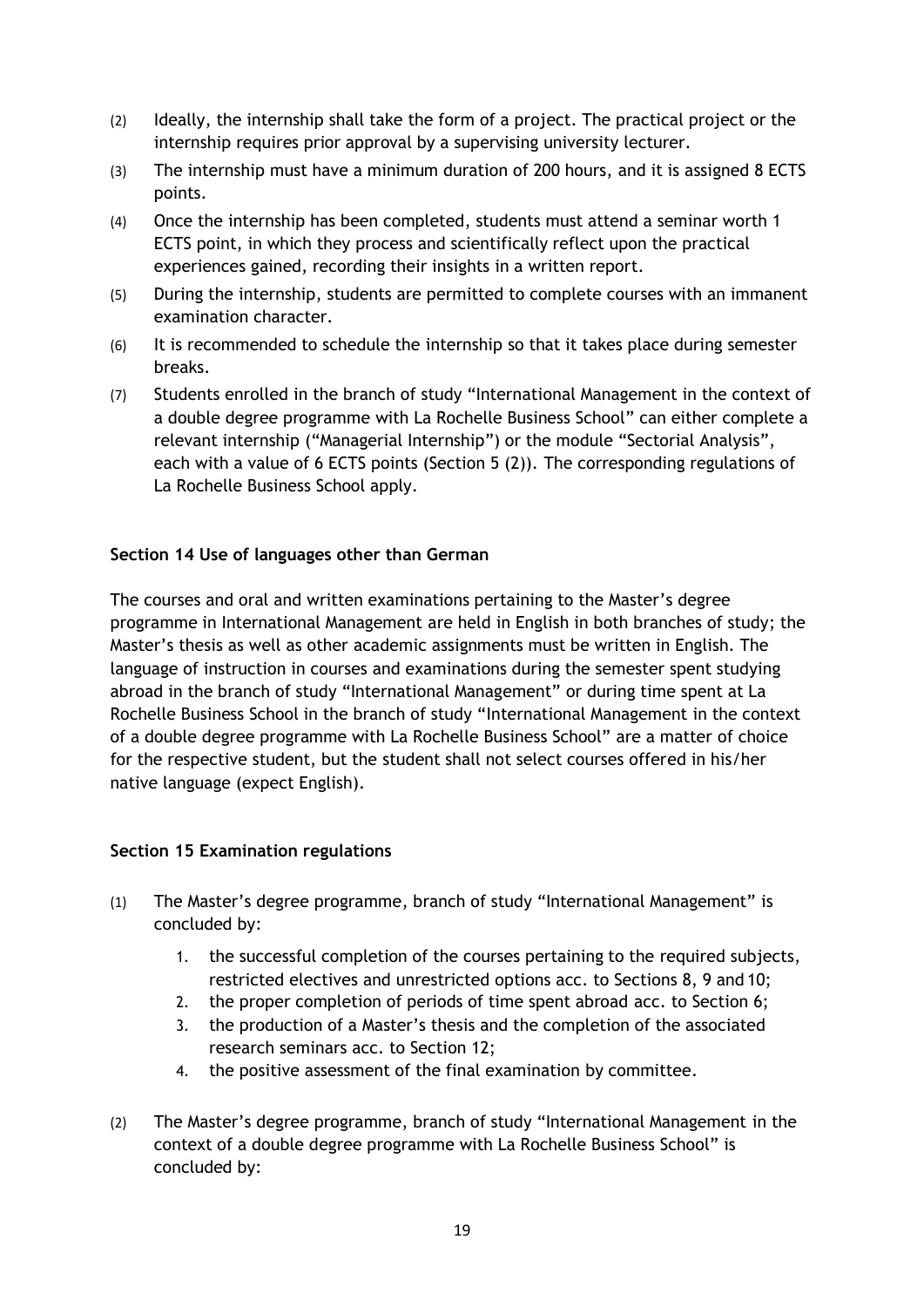- (2) Ideally, the internship shall take the form of a project. The practical project or the internship requires prior approval by a supervising university lecturer.
- (3) The internship must have a minimum duration of 200 hours, and it is assigned 8 ECTS points.
- (4) Once the internship has been completed, students must attend a seminar worth 1 ECTS point, in which they process and scientifically reflect upon the practical experiences gained, recording their insights in a written report.
- (5) During the internship, students are permitted to complete courses with an immanent examination character.
- (6) It is recommended to schedule the internship so that it takes place during semester breaks.
- (7) Students enrolled in the branch of study "International Management in the context of a double degree programme with La Rochelle Business School" can either complete a relevant internship ("Managerial Internship") or the module "Sectorial Analysis", each with a value of 6 ECTS points (Section 5 (2)). The corresponding regulations of La Rochelle Business School apply.

#### **Section 14 Use of languages other than German**

The courses and oral and written examinations pertaining to the Master's degree programme in International Management are held in English in both branches of study; the Master's thesis as well as other academic assignments must be written in English. The language of instruction in courses and examinations during the semester spent studying abroad in the branch of study "International Management" or during time spent at La Rochelle Business School in the branch of study "International Management in the context of a double degree programme with La Rochelle Business School" are a matter of choice for the respective student, but the student shall not select courses offered in his/her native language (expect English).

#### **Section 15 Examination regulations**

- (1) The Master's degree programme, branch of study "International Management" is concluded by:
	- 1. the successful completion of the courses pertaining to the required subjects, restricted electives and unrestricted options acc. to Sections 8, 9 and 10;
	- 2. the proper completion of periods of time spent abroad acc. to Section 6;
	- 3. the production of a Master's thesis and the completion of the associated research seminars acc. to Section 12;
	- 4. the positive assessment of the final examination by committee.
- (2) The Master's degree programme, branch of study "International Management in the context of a double degree programme with La Rochelle Business School" is concluded by: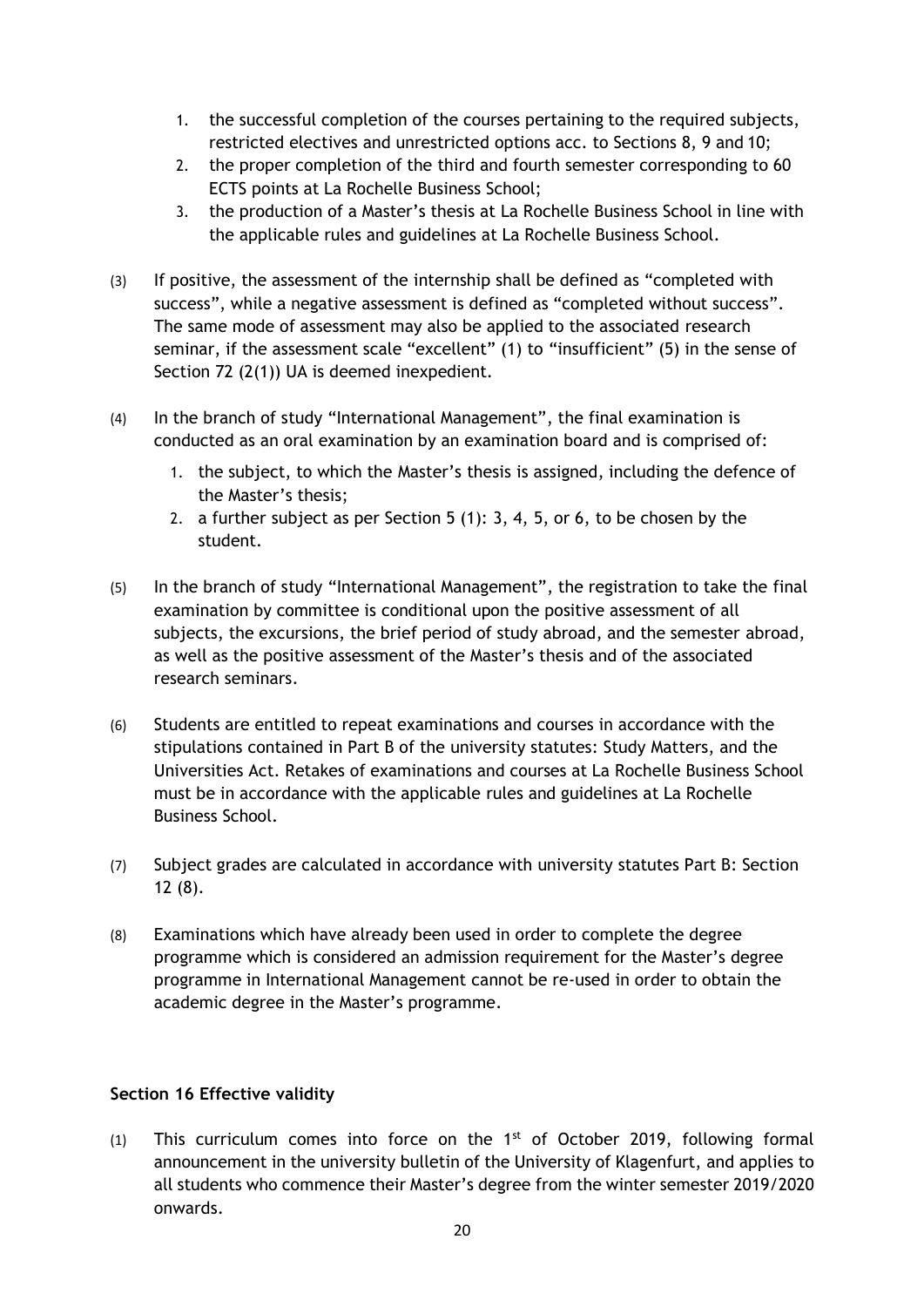- 1. the successful completion of the courses pertaining to the required subjects, restricted electives and unrestricted options acc. to Sections 8, 9 and 10;
- 2. the proper completion of the third and fourth semester corresponding to 60 ECTS points at La Rochelle Business School;
- 3. the production of a Master's thesis at La Rochelle Business School in line with the applicable rules and guidelines at La Rochelle Business School.
- (3) If positive, the assessment of the internship shall be defined as "completed with success", while a negative assessment is defined as "completed without success". The same mode of assessment may also be applied to the associated research seminar, if the assessment scale "excellent" (1) to "insufficient" (5) in the sense of Section 72 (2(1)) UA is deemed inexpedient.
- (4) In the branch of study "International Management", the final examination is conducted as an oral examination by an examination board and is comprised of:
	- 1. the subject, to which the Master's thesis is assigned, including the defence of the Master's thesis;
	- 2. a further subject as per Section 5 (1): 3, 4, 5, or 6, to be chosen by the student.
- (5) In the branch of study "International Management", the registration to take the final examination by committee is conditional upon the positive assessment of all subjects, the excursions, the brief period of study abroad, and the semester abroad, as well as the positive assessment of the Master's thesis and of the associated research seminars.
- (6) Students are entitled to repeat examinations and courses in accordance with the stipulations contained in Part B of the university statutes: Study Matters, and the Universities Act. Retakes of examinations and courses at La Rochelle Business School must be in accordance with the applicable rules and guidelines at La Rochelle Business School.
- (7) Subject grades are calculated in accordance with university statutes Part B: Section 12 (8).
- (8) Examinations which have already been used in order to complete the degree programme which is considered an admission requirement for the Master's degree programme in International Management cannot be re-used in order to obtain the academic degree in the Master's programme.

#### **Section 16 Effective validity**

(1) This curriculum comes into force on the  $1<sup>st</sup>$  of October 2019, following formal announcement in the university bulletin of the University of Klagenfurt, and applies to all students who commence their Master's degree from the winter semester 2019/2020 onwards.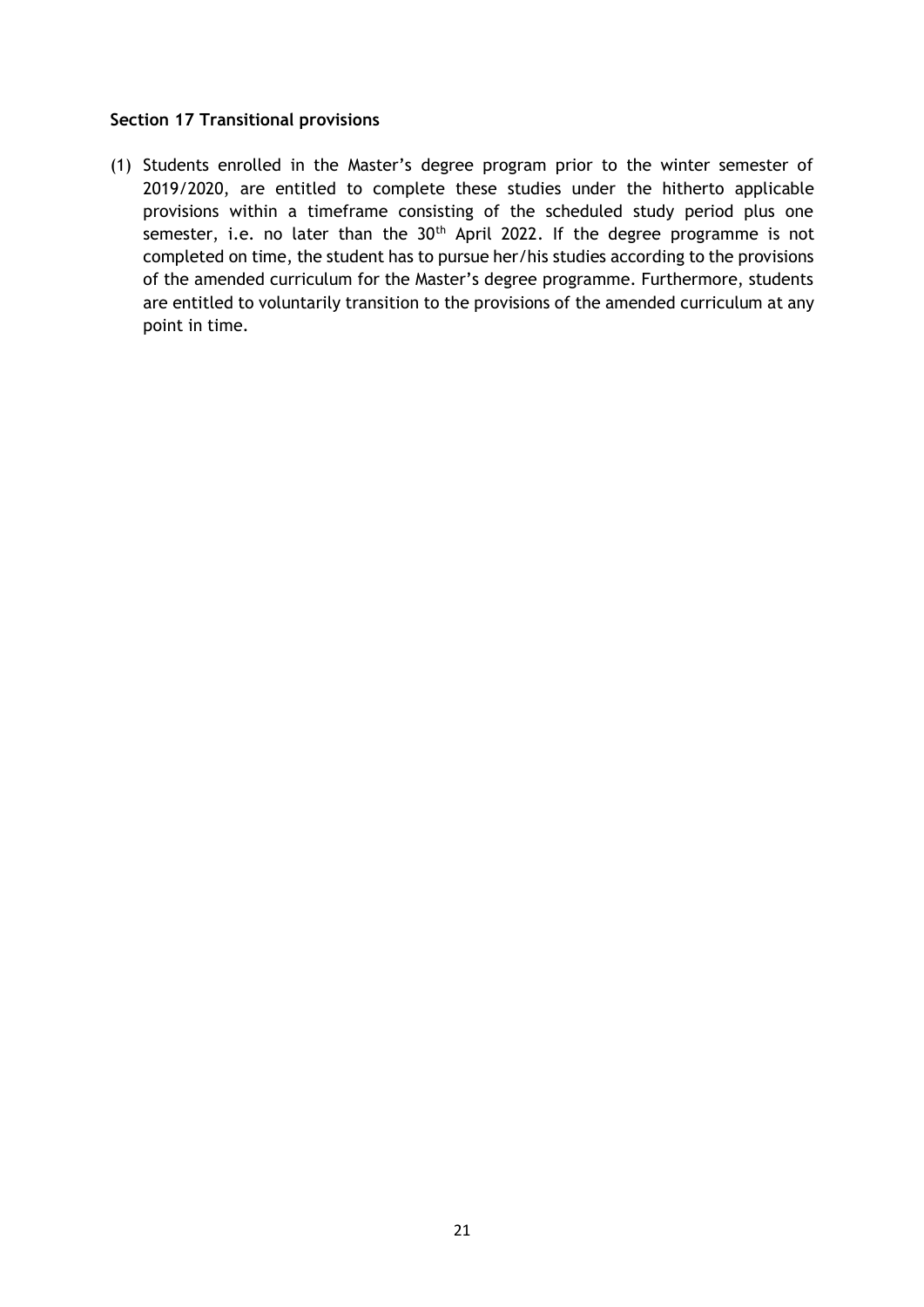#### **Section 17 Transitional provisions**

(1) Students enrolled in the Master's degree program prior to the winter semester of 2019/2020, are entitled to complete these studies under the hitherto applicable provisions within a timeframe consisting of the scheduled study period plus one semester, i.e. no later than the  $30<sup>th</sup>$  April 2022. If the degree programme is not completed on time, the student has to pursue her/his studies according to the provisions of the amended curriculum for the Master's degree programme. Furthermore, students are entitled to voluntarily transition to the provisions of the amended curriculum at any point in time.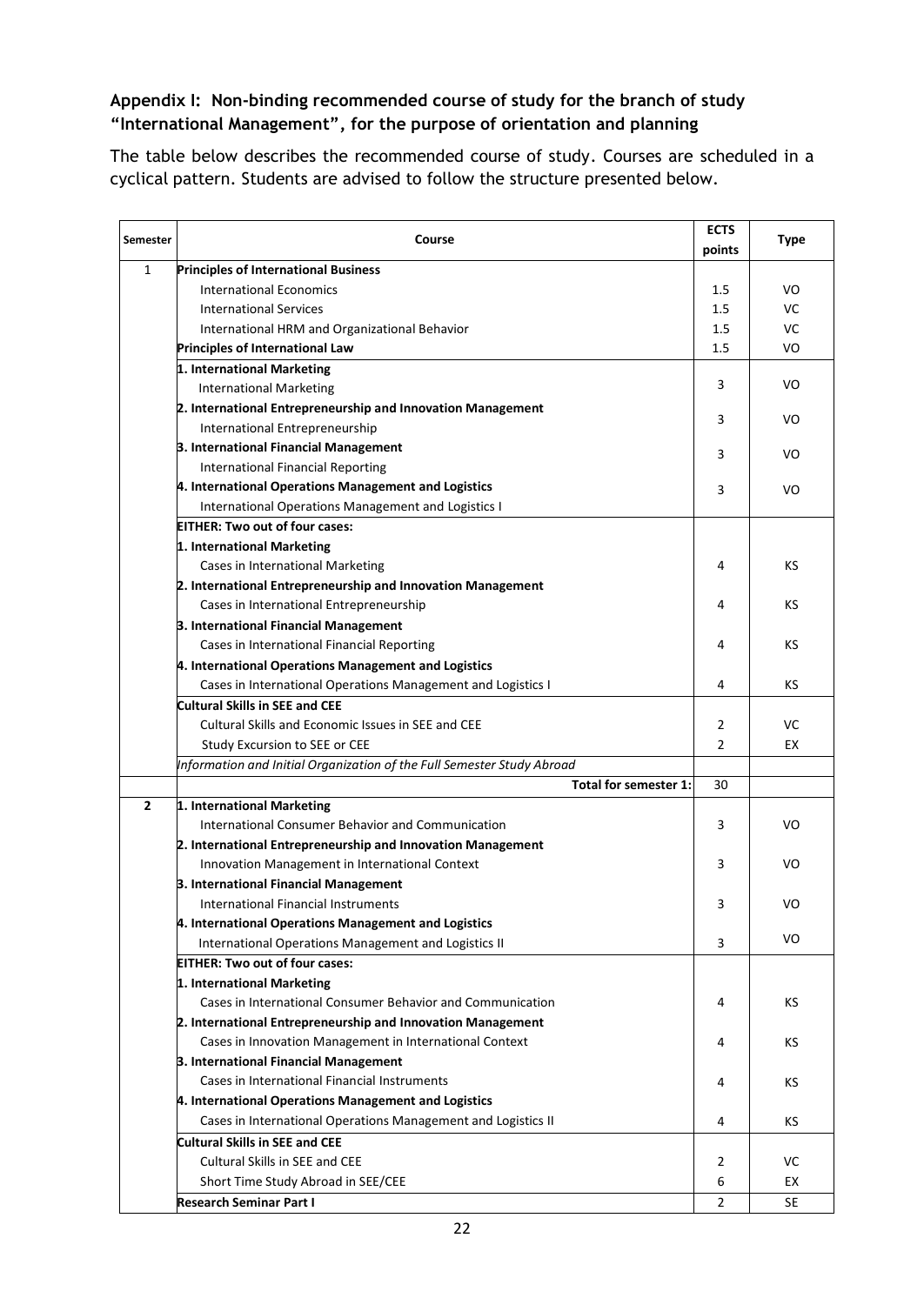#### **Appendix I: Non-binding recommended course of study for the branch of study "International Management", for the purpose of orientation and planning**

The table below describes the recommended course of study. Courses are scheduled in a cyclical pattern. Students are advised to follow the structure presented below.

| <b>Semester</b> | Course                                                                 | <b>ECTS</b> | <b>Type</b> |
|-----------------|------------------------------------------------------------------------|-------------|-------------|
|                 |                                                                        | points      |             |
| 1               | <b>Principles of International Business</b>                            |             |             |
|                 | <b>International Economics</b>                                         | 1.5         | VO          |
|                 | <b>International Services</b>                                          | 1.5         | VC          |
|                 | International HRM and Organizational Behavior                          | 1.5         | VC          |
|                 | Principles of International Law                                        | 1.5         | VO          |
|                 | 1. International Marketing                                             |             |             |
|                 | <b>International Marketing</b>                                         | 3           | VO          |
|                 | 2. International Entrepreneurship and Innovation Management            | 3           | VO          |
|                 | International Entrepreneurship                                         |             |             |
|                 | 3. International Financial Management                                  | 3           | VO          |
|                 | <b>International Financial Reporting</b>                               |             |             |
|                 | 4. International Operations Management and Logistics                   | 3           | VO          |
|                 | International Operations Management and Logistics I                    |             |             |
|                 | <b>EITHER: Two out of four cases:</b>                                  |             |             |
|                 | 1. International Marketing                                             |             |             |
|                 | Cases in International Marketing                                       | 4           | κs          |
|                 | 2. International Entrepreneurship and Innovation Management            |             |             |
|                 | Cases in International Entrepreneurship                                | 4           | КS          |
|                 | 3. International Financial Management                                  |             |             |
|                 | Cases in International Financial Reporting                             | 4           | κs          |
|                 | 4. International Operations Management and Logistics                   |             |             |
|                 | Cases in International Operations Management and Logistics I           | 4           | κs          |
|                 | <b>Cultural Skills in SEE and CEE</b>                                  |             |             |
|                 | Cultural Skills and Economic Issues in SEE and CEE                     | 2           | VC          |
|                 | Study Excursion to SEE or CEE                                          | 2           | EX          |
|                 | Information and Initial Organization of the Full Semester Study Abroad |             |             |
|                 | Total for semester 1:                                                  | 30          |             |
| $\overline{2}$  | 1. International Marketing                                             |             |             |
|                 | International Consumer Behavior and Communication                      | 3           | VO          |
|                 | 2. International Entrepreneurship and Innovation Management            |             |             |
|                 | Innovation Management in International Context                         | 3           | VO          |
|                 | 3. International Financial Management                                  |             |             |
|                 | <b>International Financial Instruments</b>                             | 3           | VO          |
|                 | 4. International Operations Management and Logistics                   |             |             |
|                 | International Operations Management and Logistics II                   | 3           | VO          |
|                 | <b>EITHER: Two out of four cases:</b>                                  |             |             |
|                 | 1. International Marketing                                             |             |             |
|                 | Cases in International Consumer Behavior and Communication             | 4           | ΚS          |
|                 | 2. International Entrepreneurship and Innovation Management            |             |             |
|                 | Cases in Innovation Management in International Context                | 4           | КS          |
|                 | 3. International Financial Management                                  |             |             |
|                 | Cases in International Financial Instruments                           | 4           | κs          |
|                 | 4. International Operations Management and Logistics                   |             |             |
|                 | Cases in International Operations Management and Logistics II          | 4           | KS          |
|                 | Cultural Skills in SEE and CEE                                         |             |             |
|                 | <b>Cultural Skills in SEE and CEE</b>                                  |             |             |
|                 |                                                                        | 2           | VC          |
|                 | Short Time Study Abroad in SEE/CEE                                     | 6           | EX          |
|                 | <b>Research Seminar Part I</b>                                         | 2           | SE          |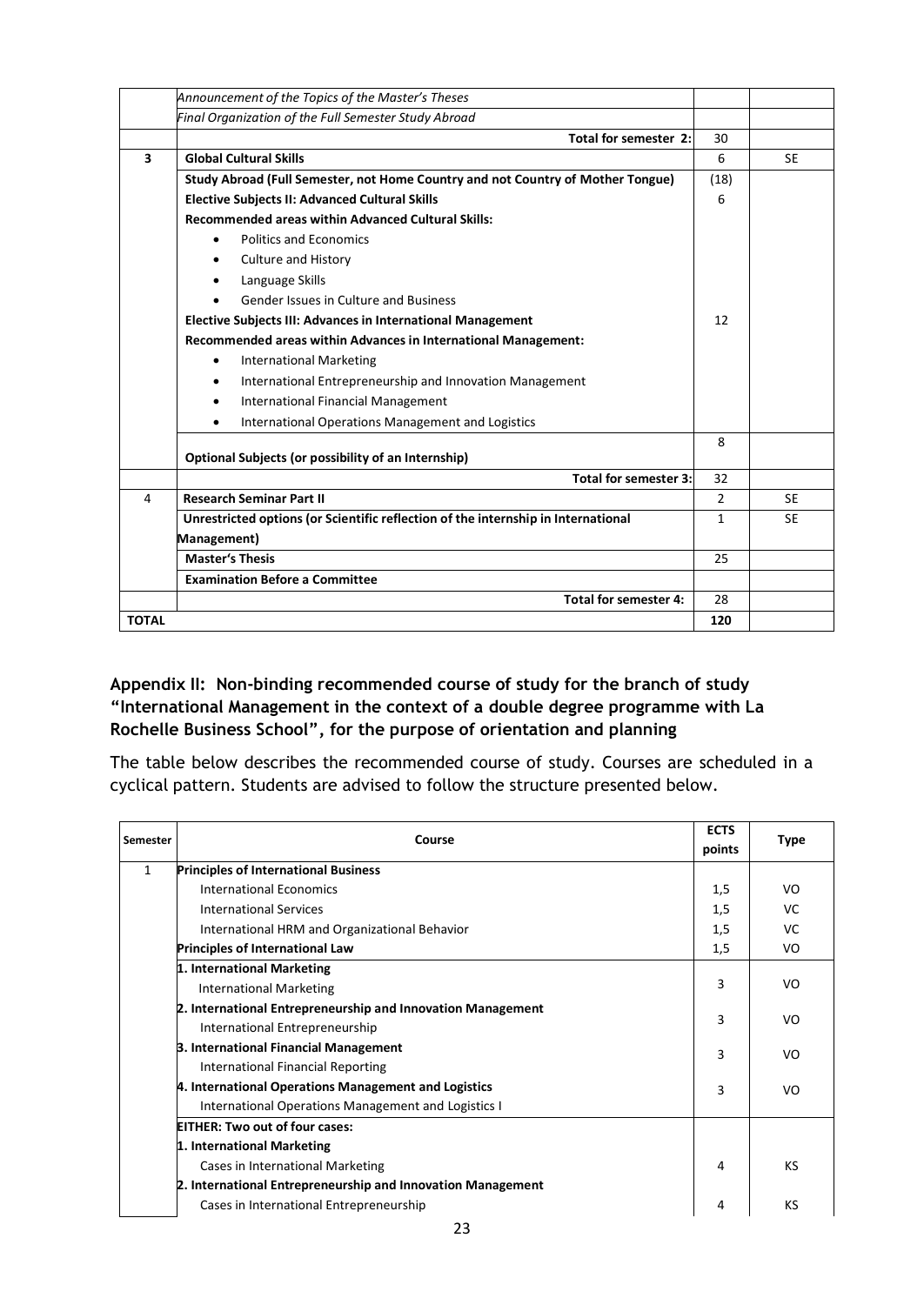|                         | Announcement of the Topics of the Master's Theses                                 |                |           |
|-------------------------|-----------------------------------------------------------------------------------|----------------|-----------|
|                         | Final Organization of the Full Semester Study Abroad                              |                |           |
|                         | Total for semester 2:                                                             | 30             |           |
| $\overline{\mathbf{3}}$ | <b>Global Cultural Skills</b>                                                     | 6              | <b>SE</b> |
|                         | Study Abroad (Full Semester, not Home Country and not Country of Mother Tongue)   | (18)           |           |
|                         | <b>Elective Subjects II: Advanced Cultural Skills</b>                             | 6              |           |
|                         | <b>Recommended areas within Advanced Cultural Skills:</b>                         |                |           |
|                         | <b>Politics and Economics</b><br>$\bullet$                                        |                |           |
|                         | <b>Culture and History</b>                                                        |                |           |
|                         | Language Skills<br>٠                                                              |                |           |
|                         | Gender Issues in Culture and Business                                             |                |           |
|                         | Elective Subjects III: Advances in International Management                       | 12             |           |
|                         | Recommended areas within Advances in International Management:                    |                |           |
|                         | <b>International Marketing</b><br>$\bullet$                                       |                |           |
|                         | International Entrepreneurship and Innovation Management<br>٠                     |                |           |
|                         | <b>International Financial Management</b><br>٠                                    |                |           |
|                         | International Operations Management and Logistics<br>$\bullet$                    |                |           |
|                         | Optional Subjects (or possibility of an Internship)                               | 8              |           |
|                         | <b>Total for semester 3:</b>                                                      | 32             |           |
| 4                       | <b>Research Seminar Part II</b>                                                   | $\overline{2}$ | <b>SE</b> |
|                         | Unrestricted options (or Scientific reflection of the internship in International | $\mathbf{1}$   | <b>SE</b> |
|                         | Management)                                                                       |                |           |
|                         | <b>Master's Thesis</b>                                                            | 25             |           |
|                         | <b>Examination Before a Committee</b>                                             |                |           |
|                         | Total for semester 4:                                                             | 28             |           |
| <b>TOTAL</b>            |                                                                                   | 120            |           |

#### **Appendix II: Non-binding recommended course of study for the branch of study "International Management in the context of a double degree programme with La Rochelle Business School", for the purpose of orientation and planning**

The table below describes the recommended course of study. Courses are scheduled in a cyclical pattern. Students are advised to follow the structure presented below.

| Semester | Course                                                      | <b>ECTS</b><br>points | <b>Type</b> |
|----------|-------------------------------------------------------------|-----------------------|-------------|
| 1        | <b>Principles of International Business</b>                 |                       |             |
|          | International Economics                                     | 1,5                   | VO          |
|          | <b>International Services</b>                               | 1,5                   | VC          |
|          | International HRM and Organizational Behavior               | 1,5                   | VC          |
|          | <b>Principles of International Law</b>                      | 1,5                   | VO          |
|          | 1. International Marketing                                  |                       |             |
|          | <b>International Marketing</b>                              | 3                     | VO          |
|          | 2. International Entrepreneurship and Innovation Management |                       |             |
|          | International Entrepreneurship                              | 3                     | VO          |
|          | 3. International Financial Management                       | 3                     | VO          |
|          | International Financial Reporting                           |                       |             |
|          | 4. International Operations Management and Logistics        | 3                     | VO          |
|          | International Operations Management and Logistics I         |                       |             |
|          | <b>EITHER: Two out of four cases:</b>                       |                       |             |
|          | 1. International Marketing                                  |                       |             |
|          | Cases in International Marketing                            | 4                     | KS          |
|          | 2. International Entrepreneurship and Innovation Management |                       |             |
|          | Cases in International Entrepreneurship                     | 4                     | КS          |